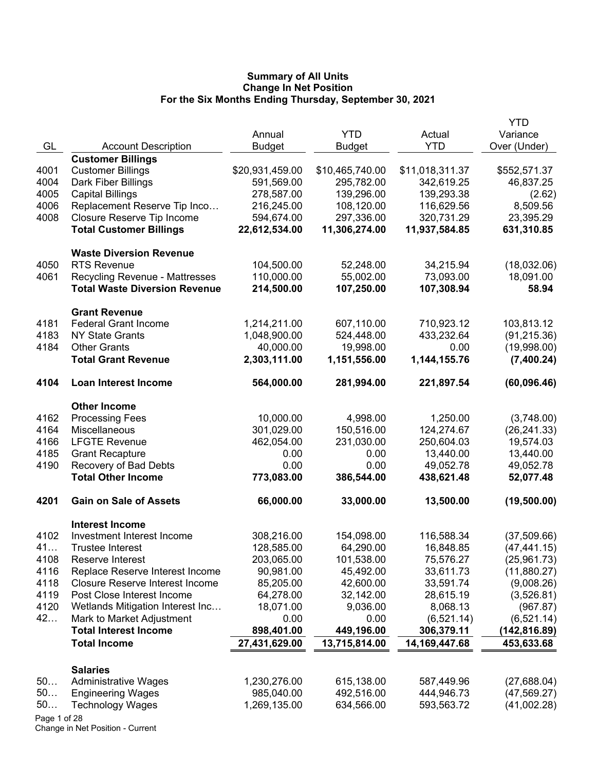|      |                                        |                 |                 |                  | YTD          |
|------|----------------------------------------|-----------------|-----------------|------------------|--------------|
|      |                                        | Annual          | <b>YTD</b>      | Actual           | Variance     |
| GL   | <b>Account Description</b>             | <b>Budget</b>   | <b>Budget</b>   | <b>YTD</b>       | Over (Under) |
|      | <b>Customer Billings</b>               |                 |                 |                  |              |
| 4001 | <b>Customer Billings</b>               | \$20,931,459.00 | \$10,465,740.00 | \$11,018,311.37  | \$552,571.37 |
| 4004 | Dark Fiber Billings                    | 591,569.00      | 295,782.00      | 342,619.25       | 46,837.25    |
| 4005 | <b>Capital Billings</b>                | 278,587.00      | 139,296.00      | 139,293.38       | (2.62)       |
| 4006 | Replacement Reserve Tip Inco           | 216,245.00      | 108,120.00      | 116,629.56       | 8,509.56     |
| 4008 | Closure Reserve Tip Income             | 594,674.00      | 297,336.00      | 320,731.29       | 23,395.29    |
|      | <b>Total Customer Billings</b>         | 22,612,534.00   | 11,306,274.00   | 11,937,584.85    | 631,310.85   |
|      | <b>Waste Diversion Revenue</b>         |                 |                 |                  |              |
| 4050 | <b>RTS Revenue</b>                     | 104,500.00      | 52,248.00       | 34,215.94        | (18,032.06)  |
| 4061 | <b>Recycling Revenue - Mattresses</b>  | 110,000.00      | 55,002.00       | 73,093.00        | 18,091.00    |
|      | <b>Total Waste Diversion Revenue</b>   | 214,500.00      | 107,250.00      | 107,308.94       | 58.94        |
|      | <b>Grant Revenue</b>                   |                 |                 |                  |              |
| 4181 | <b>Federal Grant Income</b>            | 1,214,211.00    | 607,110.00      | 710,923.12       | 103,813.12   |
| 4183 | <b>NY State Grants</b>                 | 1,048,900.00    | 524,448.00      | 433,232.64       | (91, 215.36) |
| 4184 | <b>Other Grants</b>                    | 40,000.00       | 19,998.00       | 0.00             | (19,998.00)  |
|      | <b>Total Grant Revenue</b>             | 2,303,111.00    | 1,151,556.00    | 1,144,155.76     | (7,400.24)   |
| 4104 | <b>Loan Interest Income</b>            | 564,000.00      | 281,994.00      | 221,897.54       | (60, 096.46) |
|      | <b>Other Income</b>                    |                 |                 |                  |              |
| 4162 | <b>Processing Fees</b>                 | 10,000.00       | 4,998.00        | 1,250.00         | (3,748.00)   |
| 4164 | Miscellaneous                          | 301,029.00      | 150,516.00      | 124,274.67       | (26, 241.33) |
| 4166 | <b>LFGTE Revenue</b>                   | 462,054.00      | 231,030.00      | 250,604.03       | 19,574.03    |
| 4185 | <b>Grant Recapture</b>                 | 0.00            | 0.00            | 13,440.00        | 13,440.00    |
| 4190 | Recovery of Bad Debts                  | 0.00            | 0.00            | 49,052.78        | 49,052.78    |
|      | <b>Total Other Income</b>              | 773,083.00      | 386,544.00      | 438,621.48       | 52,077.48    |
| 4201 | <b>Gain on Sale of Assets</b>          | 66,000.00       | 33,000.00       | 13,500.00        | (19,500.00)  |
|      | <b>Interest Income</b>                 |                 |                 |                  |              |
| 4102 | Investment Interest Income             | 308,216.00      | 154,098.00      | 116,588.34       | (37,509.66)  |
| 41   | <b>Trustee Interest</b>                | 128,585.00      | 64,290.00       | 16,848.85        | (47,441.15)  |
| 4108 | Reserve Interest                       | 203,065.00      | 101,538.00      | 75,576.27        | (25,961.73)  |
| 4116 | Replace Reserve Interest Income        | 90,981.00       | 45,492.00       | 33,611.73        | (11,880.27)  |
| 4118 | <b>Closure Reserve Interest Income</b> | 85,205.00       | 42,600.00       | 33,591.74        | (9,008.26)   |
| 4119 | Post Close Interest Income             | 64,278.00       | 32,142.00       | 28,615.19        | (3,526.81)   |
| 4120 | Wetlands Mitigation Interest Inc       | 18,071.00       | 9,036.00        | 8,068.13         | (967.87)     |
| 42   | Mark to Market Adjustment              | 0.00            | 0.00            | (6, 521.14)      | (6, 521.14)  |
|      | <b>Total Interest Income</b>           | 898,401.00      | 449,196.00      | 306,379.11       | (142,816.89) |
|      | <b>Total Income</b>                    | 27,431,629.00   | 13,715,814.00   | 14, 169, 447. 68 | 453,633.68   |
|      | <b>Salaries</b>                        |                 |                 |                  |              |
| 50   | <b>Administrative Wages</b>            | 1,230,276.00    | 615,138.00      | 587,449.96       | (27, 688.04) |
| 50   | <b>Engineering Wages</b>               | 985,040.00      | 492,516.00      | 444,946.73       | (47, 569.27) |
| 50   | <b>Technology Wages</b>                | 1,269,135.00    | 634,566.00      | 593,563.72       | (41,002.28)  |
|      |                                        |                 |                 |                  |              |

Page 1 of 28 Change in Net Position - Current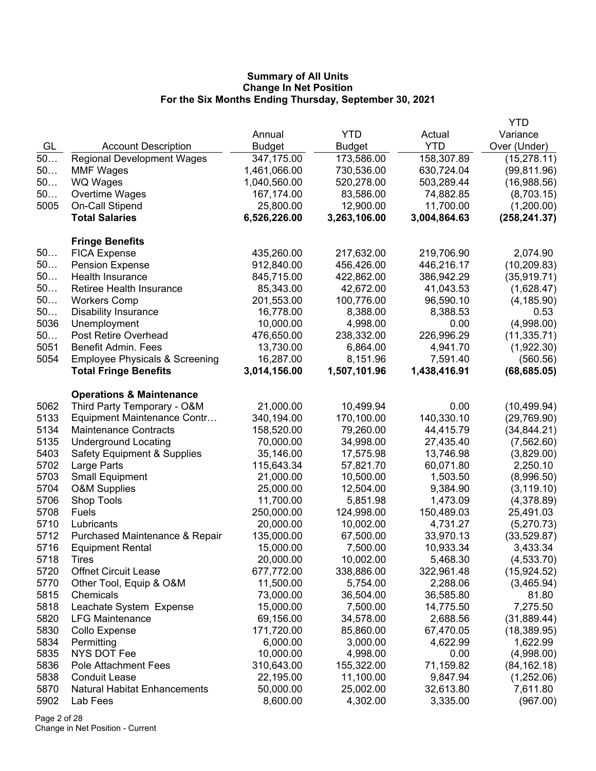|      |                                           |               |               |              | <b>YTD</b>    |
|------|-------------------------------------------|---------------|---------------|--------------|---------------|
|      |                                           | Annual        | <b>YTD</b>    | Actual       | Variance      |
| GL   | <b>Account Description</b>                | <b>Budget</b> | <b>Budget</b> | <b>YTD</b>   | Over (Under)  |
| 50   | <b>Regional Development Wages</b>         | 347,175.00    | 173,586.00    | 158,307.89   | (15, 278.11)  |
| 50   | <b>MMF Wages</b>                          | 1,461,066.00  | 730,536.00    | 630,724.04   | (99, 811.96)  |
| 50   | <b>WQ Wages</b>                           | 1,040,560.00  | 520,278.00    | 503,289.44   | (16,988.56)   |
| 50   | Overtime Wages                            | 167,174.00    | 83,586.00     | 74,882.85    | (8,703.15)    |
| 5005 | On-Call Stipend                           | 25,800.00     | 12,900.00     | 11,700.00    | (1,200.00)    |
|      | <b>Total Salaries</b>                     | 6,526,226.00  | 3,263,106.00  | 3,004,864.63 | (258, 241.37) |
|      |                                           |               |               |              |               |
|      | <b>Fringe Benefits</b>                    |               |               |              |               |
| 50   | <b>FICA Expense</b>                       | 435,260.00    | 217,632.00    | 219,706.90   | 2,074.90      |
| 50   | <b>Pension Expense</b>                    | 912,840.00    | 456,426.00    | 446,216.17   | (10, 209.83)  |
| 50   | Health Insurance                          | 845,715.00    | 422,862.00    | 386,942.29   | (35, 919.71)  |
| 50   | Retiree Health Insurance                  | 85,343.00     | 42,672.00     | 41,043.53    | (1,628.47)    |
| 50   | <b>Workers Comp</b>                       | 201,553.00    | 100,776.00    | 96,590.10    | (4, 185.90)   |
| 50   | <b>Disability Insurance</b>               | 16,778.00     | 8,388.00      | 8,388.53     | 0.53          |
| 5036 | Unemployment                              | 10,000.00     | 4,998.00      | 0.00         | (4,998.00)    |
| 50   | Post Retire Overhead                      | 476,650.00    | 238,332.00    | 226,996.29   | (11, 335.71)  |
| 5051 | <b>Benefit Admin. Fees</b>                | 13,730.00     | 6,864.00      | 4,941.70     | (1,922.30)    |
| 5054 | <b>Employee Physicals &amp; Screening</b> | 16,287.00     | 8,151.96      | 7,591.40     | (560.56)      |
|      | <b>Total Fringe Benefits</b>              | 3,014,156.00  | 1,507,101.96  | 1,438,416.91 | (68, 685.05)  |
|      |                                           |               |               |              |               |
|      | <b>Operations &amp; Maintenance</b>       |               |               |              |               |
| 5062 | Third Party Temporary - O&M               | 21,000.00     | 10,499.94     | 0.00         | (10, 499.94)  |
| 5133 | Equipment Maintenance Contr               | 340,194.00    | 170,100.00    | 140,330.10   | (29,769.90)   |
| 5134 | <b>Maintenance Contracts</b>              | 158,520.00    | 79,260.00     | 44,415.79    | (34, 844.21)  |
| 5135 | <b>Underground Locating</b>               | 70,000.00     | 34,998.00     | 27,435.40    | (7, 562.60)   |
| 5403 | <b>Safety Equipment &amp; Supplies</b>    | 35,146.00     | 17,575.98     | 13,746.98    | (3,829.00)    |
| 5702 | Large Parts                               | 115,643.34    | 57,821.70     | 60,071.80    | 2,250.10      |
| 5703 | <b>Small Equipment</b>                    | 21,000.00     | 10,500.00     | 1,503.50     | (8,996.50)    |
| 5704 | <b>O&amp;M Supplies</b>                   | 25,000.00     | 12,504.00     | 9,384.90     | (3, 119.10)   |
| 5706 | Shop Tools                                | 11,700.00     | 5,851.98      | 1,473.09     | (4,378.89)    |
| 5708 | Fuels                                     | 250,000.00    | 124,998.00    | 150,489.03   | 25,491.03     |
| 5710 | Lubricants                                | 20,000.00     | 10,002.00     | 4,731.27     | (5,270.73)    |
| 5712 | Purchased Maintenance & Repair            | 135,000.00    | 67,500.00     | 33,970.13    | (33, 529.87)  |
| 5716 | <b>Equipment Rental</b>                   | 15,000.00     | 7,500.00      | 10,933.34    | 3,433.34      |
| 5718 | <b>l</b> <i>I</i> res                     | 20,000.00     | 10,002.00     | 5,468.30     | (4,533.70)    |
| 5720 | <b>Offnet Circuit Lease</b>               | 677,772.00    | 338,886.00    | 322,961.48   | (15, 924.52)  |
| 5770 | Other Tool, Equip & O&M                   | 11,500.00     | 5,754.00      | 2,288.06     | (3,465.94)    |
| 5815 | Chemicals                                 | 73,000.00     | 36,504.00     | 36,585.80    | 81.80         |
| 5818 | Leachate System Expense                   | 15,000.00     | 7,500.00      | 14,775.50    | 7,275.50      |
| 5820 | <b>LFG Maintenance</b>                    | 69,156.00     | 34,578.00     | 2,688.56     | (31, 889.44)  |
| 5830 | Collo Expense                             | 171,720.00    | 85,860.00     | 67,470.05    | (18, 389.95)  |
| 5834 | Permitting                                | 6,000.00      | 3,000.00      | 4,622.99     | 1,622.99      |
| 5835 | <b>NYS DOT Fee</b>                        | 10,000.00     | 4,998.00      | 0.00         | (4,998.00)    |
| 5836 | Pole Attachment Fees                      | 310,643.00    | 155,322.00    | 71,159.82    | (84, 162.18)  |
| 5838 | <b>Conduit Lease</b>                      | 22,195.00     | 11,100.00     | 9,847.94     | (1,252.06)    |
| 5870 | <b>Natural Habitat Enhancements</b>       | 50,000.00     | 25,002.00     | 32,613.80    | 7,611.80      |
| 5902 | Lab Fees                                  | 8,600.00      | 4,302.00      | 3,335.00     | (967.00)      |
|      |                                           |               |               |              |               |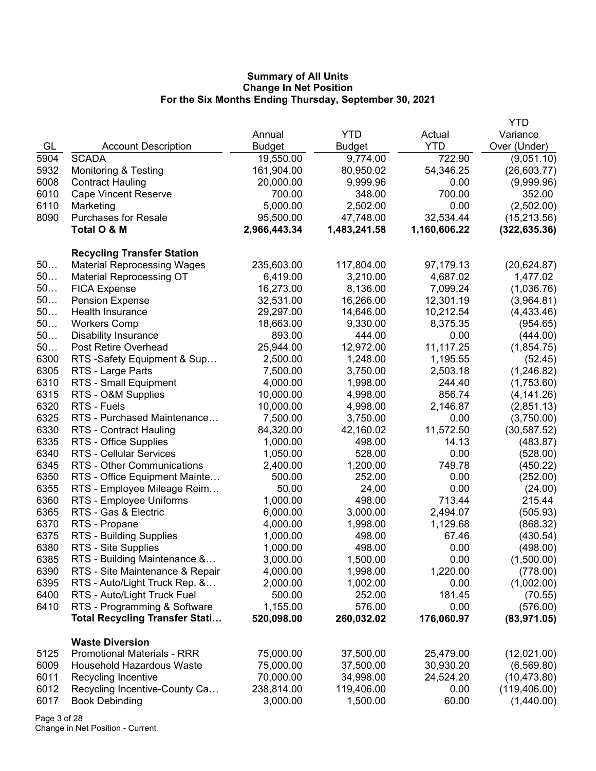|      |                                       |               |               |              | <b>YTD</b>    |
|------|---------------------------------------|---------------|---------------|--------------|---------------|
|      |                                       | Annual        | <b>YTD</b>    | Actual       | Variance      |
| GL   | <b>Account Description</b>            | <b>Budget</b> | <b>Budget</b> | <b>YTD</b>   | Over (Under)  |
| 5904 | <b>SCADA</b>                          | 19,550.00     | 9,774.00      | 722.90       | (9,051.10)    |
| 5932 | <b>Monitoring &amp; Testing</b>       | 161,904.00    | 80,950.02     | 54,346.25    | (26,603.77)   |
| 6008 | <b>Contract Hauling</b>               | 20,000.00     | 9,999.96      | 0.00         | (9,999.96)    |
| 6010 | <b>Cape Vincent Reserve</b>           | 700.00        | 348.00        | 700.00       | 352.00        |
| 6110 | Marketing                             | 5,000.00      | 2,502.00      | 0.00         | (2,502.00)    |
| 8090 | <b>Purchases for Resale</b>           | 95,500.00     | 47,748.00     | 32,534.44    | (15, 213.56)  |
|      | Total O & M                           | 2,966,443.34  | 1,483,241.58  | 1,160,606.22 | (322, 635.36) |
|      | <b>Recycling Transfer Station</b>     |               |               |              |               |
| 50   | <b>Material Reprocessing Wages</b>    | 235,603.00    | 117,804.00    | 97,179.13    | (20, 624.87)  |
| $50$ | <b>Material Reprocessing OT</b>       | 6,419.00      | 3,210.00      | 4,687.02     | 1,477.02      |
| 50   | <b>FICA Expense</b>                   | 16,273.00     | 8,136.00      | 7,099.24     | (1,036.76)    |
| 50   | <b>Pension Expense</b>                | 32,531.00     | 16,266.00     | 12,301.19    | (3,964.81)    |
| 50   | Health Insurance                      |               |               |              |               |
| 50   | <b>Workers Comp</b>                   | 29,297.00     | 14,646.00     | 10,212.54    | (4,433.46)    |
| 50   |                                       | 18,663.00     | 9,330.00      | 8,375.35     | (954.65)      |
| 50   | <b>Disability Insurance</b>           | 893.00        | 444.00        | 0.00         | (444.00)      |
|      | Post Retire Overhead                  | 25,944.00     | 12,972.00     | 11,117.25    | (1,854.75)    |
| 6300 | RTS -Safety Equipment & Sup           | 2,500.00      | 1,248.00      | 1,195.55     | (52.45)       |
| 6305 | RTS - Large Parts                     | 7,500.00      | 3,750.00      | 2,503.18     | (1,246.82)    |
| 6310 | RTS - Small Equipment                 | 4,000.00      | 1,998.00      | 244.40       | (1,753.60)    |
| 6315 | RTS - O&M Supplies                    | 10,000.00     | 4,998.00      | 856.74       | (4, 141.26)   |
| 6320 | RTS - Fuels                           | 10,000.00     | 4,998.00      | 2,146.87     | (2,851.13)    |
| 6325 | RTS - Purchased Maintenance           | 7,500.00      | 3,750.00      | 0.00         | (3,750.00)    |
| 6330 | RTS - Contract Hauling                | 84,320.00     | 42,160.02     | 11,572.50    | (30, 587.52)  |
| 6335 | RTS - Office Supplies                 | 1,000.00      | 498.00        | 14.13        | (483.87)      |
| 6340 | <b>RTS - Cellular Services</b>        | 1,050.00      | 528.00        | 0.00         | (528.00)      |
| 6345 | RTS - Other Communications            | 2,400.00      | 1,200.00      | 749.78       | (450.22)      |
| 6350 | RTS - Office Equipment Mainte         | 500.00        | 252.00        | 0.00         | (252.00)      |
| 6355 | RTS - Employee Mileage Reim           | 50.00         | 24.00         | 0.00         | (24.00)       |
| 6360 | RTS - Employee Uniforms               | 1,000.00      | 498.00        | 713.44       | 215.44        |
| 6365 | RTS - Gas & Electric                  | 6,000.00      | 3,000.00      | 2,494.07     | (505.93)      |
| 6370 | RTS - Propane                         | 4,000.00      | 1,998.00      | 1,129.68     | (868.32)      |
| 6375 | RTS - Building Supplies               | 1,000.00      | 498.00        | 67.46        | (430.54)      |
| 6380 | RTS - Site Supplies                   | 1,000.00      | 498.00        | 0.00         | (498.00)      |
| 6385 | RTS - Building Maintenance &          | 3,000.00      | 1,500.00      | 0.00         | (1,500.00)    |
| 6390 | RTS - Site Maintenance & Repair       | 4,000.00      | 1,998.00      | 1,220.00     | (778.00)      |
| 6395 | RTS - Auto/Light Truck Rep. &         | 2,000.00      | 1,002.00      | 0.00         | (1,002.00)    |
| 6400 | RTS - Auto/Light Truck Fuel           | 500.00        | 252.00        | 181.45       | (70.55)       |
| 6410 | RTS - Programming & Software          | 1,155.00      | 576.00        | 0.00         | (576.00)      |
|      | <b>Total Recycling Transfer Stati</b> | 520,098.00    | 260,032.02    | 176,060.97   | (83, 971.05)  |
|      | <b>Waste Diversion</b>                |               |               |              |               |
| 5125 | <b>Promotional Materials - RRR</b>    | 75,000.00     | 37,500.00     | 25,479.00    | (12,021.00)   |
| 6009 | <b>Household Hazardous Waste</b>      | 75,000.00     | 37,500.00     | 30,930.20    | (6, 569.80)   |
| 6011 | Recycling Incentive                   | 70,000.00     | 34,998.00     | 24,524.20    | (10, 473.80)  |
| 6012 | Recycling Incentive-County Ca         | 238,814.00    | 119,406.00    | 0.00         | (119, 406.00) |
| 6017 | <b>Book Debinding</b>                 | 3,000.00      | 1,500.00      | 60.00        | (1,440.00)    |
|      |                                       |               |               |              |               |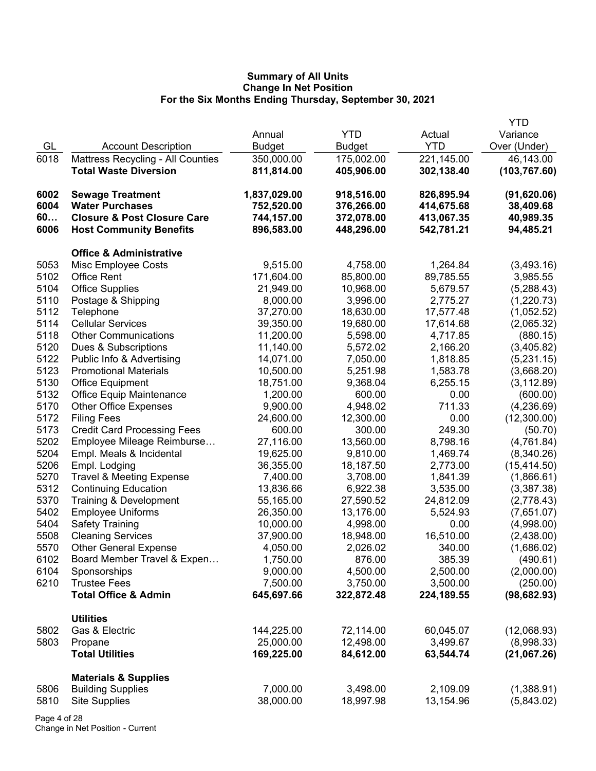|      |                                          |                             |                             |                       | <b>YTD</b>                |
|------|------------------------------------------|-----------------------------|-----------------------------|-----------------------|---------------------------|
| GL   | <b>Account Description</b>               | Annual                      | <b>YTD</b>                  | Actual<br><b>YTD</b>  | Variance<br>Over (Under)  |
| 6018 | <b>Mattress Recycling - All Counties</b> | <b>Budget</b><br>350,000.00 | <b>Budget</b><br>175,002.00 | 221,145.00            | 46,143.00                 |
|      | <b>Total Waste Diversion</b>             | 811,814.00                  | 405,906.00                  | 302,138.40            | (103, 767.60)             |
| 6002 | <b>Sewage Treatment</b>                  | 1,837,029.00                | 918,516.00                  | 826,895.94            | (91,620.06)               |
| 6004 | <b>Water Purchases</b>                   | 752,520.00                  | 376,266.00                  | 414,675.68            | 38,409.68                 |
| 60   | <b>Closure &amp; Post Closure Care</b>   | 744,157.00                  | 372,078.00                  | 413,067.35            | 40,989.35                 |
| 6006 | <b>Host Community Benefits</b>           | 896,583.00                  | 448,296.00                  | 542,781.21            | 94,485.21                 |
|      | <b>Office &amp; Administrative</b>       |                             |                             |                       |                           |
| 5053 | Misc Employee Costs                      | 9,515.00                    | 4,758.00                    | 1,264.84              | (3,493.16)                |
| 5102 | <b>Office Rent</b>                       | 171,604.00                  | 85,800.00                   | 89,785.55             | 3,985.55                  |
| 5104 | <b>Office Supplies</b>                   | 21,949.00                   | 10,968.00                   | 5,679.57              | (5,288.43)                |
| 5110 | Postage & Shipping                       | 8,000.00                    | 3,996.00                    | 2,775.27              | (1,220.73)                |
| 5112 | Telephone                                | 37,270.00                   | 18,630.00                   | 17,577.48             | (1,052.52)                |
| 5114 | <b>Cellular Services</b>                 | 39,350.00                   | 19,680.00                   | 17,614.68             | (2,065.32)                |
| 5118 | <b>Other Communications</b>              | 11,200.00                   | 5,598.00                    | 4,717.85              | (880.15)                  |
| 5120 | Dues & Subscriptions                     | 11,140.00                   | 5,572.02                    | 2,166.20              | (3,405.82)                |
| 5122 | Public Info & Advertising                | 14,071.00                   | 7,050.00                    | 1,818.85              | (5,231.15)                |
| 5123 | <b>Promotional Materials</b>             | 10,500.00                   | 5,251.98                    | 1,583.78              | (3,668.20)                |
| 5130 | <b>Office Equipment</b>                  | 18,751.00                   | 9,368.04                    | 6,255.15              | (3, 112.89)               |
| 5132 | <b>Office Equip Maintenance</b>          | 1,200.00                    | 600.00                      | 0.00                  | (600.00)                  |
| 5170 | <b>Other Office Expenses</b>             | 9,900.00                    | 4,948.02                    | 711.33                | (4,236.69)                |
| 5172 | <b>Filing Fees</b>                       | 24,600.00                   | 12,300.00                   | 0.00                  | (12,300.00)               |
| 5173 | <b>Credit Card Processing Fees</b>       | 600.00                      | 300.00                      | 249.30                | (50.70)                   |
| 5202 | Employee Mileage Reimburse               | 27,116.00                   | 13,560.00                   | 8,798.16              | (4,761.84)                |
| 5204 | Empl. Meals & Incidental                 | 19,625.00                   | 9,810.00                    | 1,469.74              | (8,340.26)                |
| 5206 | Empl. Lodging                            | 36,355.00                   | 18,187.50                   | 2,773.00              | (15, 414.50)              |
| 5270 | <b>Travel &amp; Meeting Expense</b>      | 7,400.00                    | 3,708.00                    | 1,841.39              | (1,866.61)                |
| 5312 | <b>Continuing Education</b>              | 13,836.66                   | 6,922.38                    | 3,535.00              | (3,387.38)                |
| 5370 | Training & Development                   | 55,165.00                   | 27,590.52                   | 24,812.09             | (2,778.43)                |
| 5402 | <b>Employee Uniforms</b>                 | 26,350.00                   | 13,176.00                   | 5,524.93              | (7,651.07)                |
| 5404 | <b>Safety Training</b>                   | 10,000.00                   | 4,998.00                    | 0.00                  | (4,998.00)                |
| 5508 | <b>Cleaning Services</b>                 | 37,900.00                   | 18,948.00                   | 16,510.00             | (2,438.00)                |
| 5570 | <b>Other General Expense</b>             | 4,050.00                    | 2,026.02                    | 340.00                | (1,686.02)                |
| 6102 | Board Member Travel & Expen              | 1,750.00                    | 876.00                      | 385.39                | (490.61)                  |
| 6104 | Sponsorships                             | 9,000.00                    | 4,500.00                    | 2,500.00              | (2,000.00)                |
| 6210 | <b>Trustee Fees</b>                      | 7,500.00                    | 3,750.00                    | 3,500.00              | (250.00)                  |
|      | <b>Total Office &amp; Admin</b>          | 645,697.66                  | 322,872.48                  | 224,189.55            | (98, 682.93)              |
|      | <b>Utilities</b>                         |                             |                             |                       |                           |
| 5802 | Gas & Electric                           | 144,225.00                  | 72,114.00                   | 60,045.07             | (12,068.93)               |
| 5803 | Propane<br><b>Total Utilities</b>        | 25,000.00<br>169,225.00     | 12,498.00<br>84,612.00      | 3,499.67<br>63,544.74 | (8,998.33)<br>(21,067.26) |
|      | <b>Materials &amp; Supplies</b>          |                             |                             |                       |                           |
| 5806 | <b>Building Supplies</b>                 | 7,000.00                    | 3,498.00                    | 2,109.09              | (1,388.91)                |
| 5810 | <b>Site Supplies</b>                     | 38,000.00                   | 18,997.98                   | 13,154.96             | (5,843.02)                |
|      |                                          |                             |                             |                       |                           |

Page 4 of 28 Change in Net Position - Current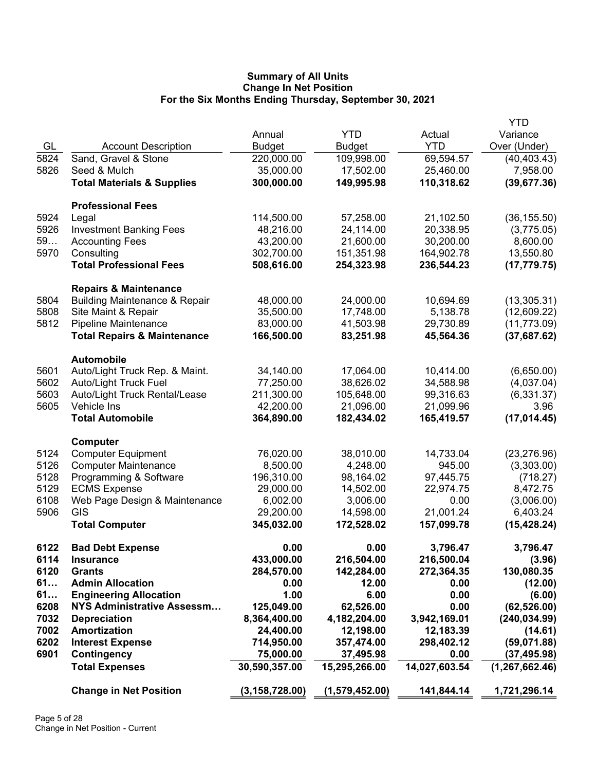|      |                                                     |                  |                |               | <b>YTD</b>       |
|------|-----------------------------------------------------|------------------|----------------|---------------|------------------|
|      |                                                     | Annual           | <b>YTD</b>     | Actual        | Variance         |
| GL   | <b>Account Description</b>                          | <b>Budget</b>    | <b>Budget</b>  | <b>YTD</b>    | Over (Under)     |
| 5824 | Sand, Gravel & Stone                                | 220,000.00       | 109,998.00     | 69,594.57     | (40, 403.43)     |
| 5826 | Seed & Mulch                                        | 35,000.00        | 17,502.00      | 25,460.00     | 7,958.00         |
|      | <b>Total Materials &amp; Supplies</b>               | 300,000.00       | 149,995.98     | 110,318.62    | (39, 677.36)     |
|      |                                                     |                  |                |               |                  |
|      | <b>Professional Fees</b>                            |                  |                |               |                  |
| 5924 | Legal                                               | 114,500.00       | 57,258.00      | 21,102.50     | (36, 155.50)     |
| 5926 | <b>Investment Banking Fees</b>                      | 48,216.00        | 24,114.00      | 20,338.95     | (3,775.05)       |
| 59   | <b>Accounting Fees</b>                              | 43,200.00        | 21,600.00      | 30,200.00     | 8,600.00         |
| 5970 | Consulting                                          | 302,700.00       | 151,351.98     | 164,902.78    | 13,550.80        |
|      | <b>Total Professional Fees</b>                      | 508,616.00       | 254,323.98     | 236,544.23    | (17, 779.75)     |
|      |                                                     |                  |                |               |                  |
|      | <b>Repairs &amp; Maintenance</b>                    |                  |                |               |                  |
| 5804 | <b>Building Maintenance &amp; Repair</b>            | 48,000.00        | 24,000.00      | 10,694.69     | (13,305.31)      |
| 5808 | Site Maint & Repair                                 | 35,500.00        | 17,748.00      | 5,138.78      | (12,609.22)      |
| 5812 | <b>Pipeline Maintenance</b>                         | 83,000.00        | 41,503.98      | 29,730.89     | (11, 773.09)     |
|      | <b>Total Repairs &amp; Maintenance</b>              | 166,500.00       | 83,251.98      | 45,564.36     | (37,687.62)      |
|      |                                                     |                  |                |               |                  |
| 5601 | <b>Automobile</b><br>Auto/Light Truck Rep. & Maint. | 34,140.00        | 17,064.00      | 10,414.00     | (6,650.00)       |
| 5602 |                                                     |                  | 38,626.02      | 34,588.98     |                  |
|      | <b>Auto/Light Truck Fuel</b>                        | 77,250.00        |                |               | (4,037.04)       |
| 5603 | Auto/Light Truck Rental/Lease                       | 211,300.00       | 105,648.00     | 99,316.63     | (6, 331.37)      |
| 5605 | Vehicle Ins                                         | 42,200.00        | 21,096.00      | 21,099.96     | 3.96             |
|      | <b>Total Automobile</b>                             | 364,890.00       | 182,434.02     | 165,419.57    | (17, 014.45)     |
|      | Computer                                            |                  |                |               |                  |
| 5124 | <b>Computer Equipment</b>                           | 76,020.00        | 38,010.00      | 14,733.04     | (23, 276.96)     |
| 5126 | <b>Computer Maintenance</b>                         | 8,500.00         | 4,248.00       | 945.00        | (3,303.00)       |
| 5128 | Programming & Software                              | 196,310.00       | 98,164.02      | 97,445.75     | (718.27)         |
| 5129 | <b>ECMS Expense</b>                                 | 29,000.00        | 14,502.00      | 22,974.75     | 8,472.75         |
| 6108 | Web Page Design & Maintenance                       | 6,002.00         | 3,006.00       | 0.00          | (3,006.00)       |
| 5906 | GIS                                                 | 29,200.00        | 14,598.00      | 21,001.24     | 6,403.24         |
|      | <b>Total Computer</b>                               | 345,032.00       | 172,528.02     | 157,099.78    | (15, 428.24)     |
|      |                                                     |                  |                |               |                  |
| 6122 | <b>Bad Debt Expense</b>                             | 0.00             | 0.00           | 3,796.47      | 3,796.47         |
| 6114 | <b>Insurance</b>                                    | 433,000.00       | 216,504.00     | 216,500.04    | (3.96)           |
| 6120 | <b>Grants</b>                                       | 284,570.00       | 142,284.00     | 272,364.35    | 130,080.35       |
| 61   | <b>Admin Allocation</b>                             | 0.00             | 12.00          | 0.00          | (12.00)          |
| 61   | <b>Engineering Allocation</b>                       | 1.00             | 6.00           | 0.00          | (6.00)           |
| 6208 | <b>NYS Administrative Assessm</b>                   | 125,049.00       | 62,526.00      | 0.00          | (62, 526.00)     |
| 7032 | <b>Depreciation</b>                                 | 8,364,400.00     | 4,182,204.00   | 3,942,169.01  | (240, 034.99)    |
| 7002 | <b>Amortization</b>                                 | 24,400.00        | 12,198.00      | 12,183.39     | (14.61)          |
| 6202 | <b>Interest Expense</b>                             | 714,950.00       | 357,474.00     | 298,402.12    | (59,071.88)      |
| 6901 | Contingency                                         | 75,000.00        | 37,495.98      | 0.00          | (37, 495.98)     |
|      | <b>Total Expenses</b>                               | 30,590,357.00    | 15,295,266.00  | 14,027,603.54 | (1, 267, 662.46) |
|      |                                                     |                  |                |               |                  |
|      | <b>Change in Net Position</b>                       | (3, 158, 728.00) | (1,579,452.00) | 141,844.14    | 1,721,296.14     |
|      |                                                     |                  |                |               |                  |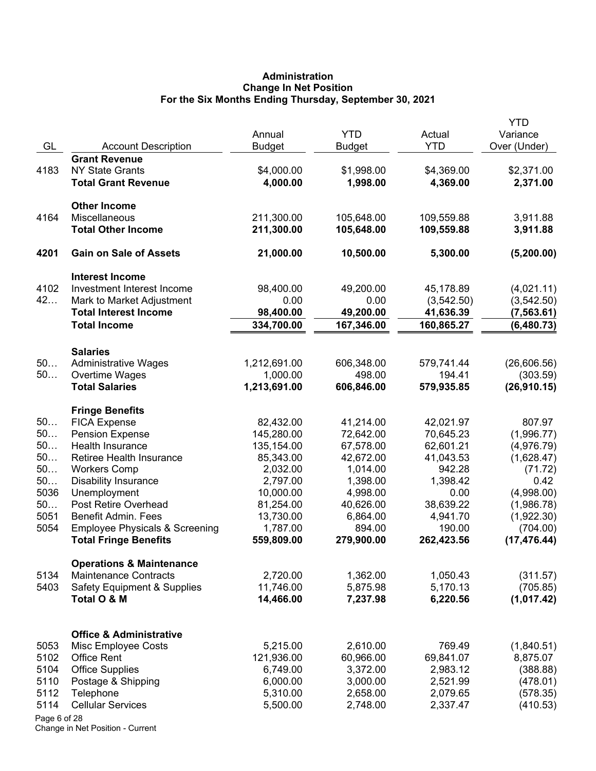# **Administration Change In Net Position For the Six Months Ending Thursday, September 30, 2021**

|              |                                                 | Annual                | <b>YTD</b>            | Actual              | YTD<br>Variance       |
|--------------|-------------------------------------------------|-----------------------|-----------------------|---------------------|-----------------------|
| GL           | <b>Account Description</b>                      | <b>Budget</b>         | <b>Budget</b>         | <b>YTD</b>          | Over (Under)          |
|              | <b>Grant Revenue</b>                            |                       |                       |                     |                       |
| 4183         | <b>NY State Grants</b>                          | \$4,000.00            | \$1,998.00            | \$4,369.00          | \$2,371.00            |
|              | <b>Total Grant Revenue</b>                      | 4,000.00              | 1,998.00              | 4,369.00            | 2,371.00              |
|              | <b>Other Income</b>                             |                       |                       |                     |                       |
| 4164         | Miscellaneous                                   | 211,300.00            | 105,648.00            | 109,559.88          | 3,911.88              |
|              | <b>Total Other Income</b>                       | 211,300.00            | 105,648.00            | 109,559.88          | 3,911.88              |
| 4201         | <b>Gain on Sale of Assets</b>                   | 21,000.00             | 10,500.00             | 5,300.00            | (5,200.00)            |
|              | <b>Interest Income</b>                          |                       |                       |                     |                       |
| 4102         | Investment Interest Income                      | 98,400.00             | 49,200.00             | 45,178.89           | (4,021.11)            |
| 42           | Mark to Market Adjustment                       | 0.00                  | 0.00                  | (3,542.50)          | (3, 542.50)           |
|              | <b>Total Interest Income</b>                    | 98,400.00             | 49,200.00             | 41,636.39           | (7,563.61)            |
|              | <b>Total Income</b>                             | 334,700.00            | 167,346.00            | 160,865.27          | (6,480.73)            |
|              | <b>Salaries</b>                                 |                       |                       |                     |                       |
| 50           | <b>Administrative Wages</b>                     | 1,212,691.00          | 606,348.00            | 579,741.44          | (26,606.56)           |
| 50           | Overtime Wages                                  | 1,000.00              | 498.00                | 194.41              | (303.59)              |
|              | <b>Total Salaries</b>                           | 1,213,691.00          | 606,846.00            | 579,935.85          | (26,910.15)           |
|              | <b>Fringe Benefits</b>                          |                       |                       |                     |                       |
| 50           | <b>FICA Expense</b>                             | 82,432.00             | 41,214.00             | 42,021.97           | 807.97                |
| 50           | <b>Pension Expense</b>                          | 145,280.00            | 72,642.00             | 70,645.23           | (1,996.77)            |
| 50<br>50     | Health Insurance                                | 135,154.00            | 67,578.00             | 62,601.21           | (4,976.79)            |
| 50           | Retiree Health Insurance<br><b>Workers Comp</b> | 85,343.00<br>2,032.00 | 42,672.00<br>1,014.00 | 41,043.53<br>942.28 | (1,628.47)<br>(71.72) |
| 50           | <b>Disability Insurance</b>                     | 2,797.00              | 1,398.00              | 1,398.42            | 0.42                  |
| 5036         | Unemployment                                    | 10,000.00             | 4,998.00              | 0.00                | (4,998.00)            |
| 50           | Post Retire Overhead                            | 81,254.00             | 40,626.00             | 38,639.22           | (1,986.78)            |
| 5051         | <b>Benefit Admin. Fees</b>                      | 13,730.00             | 6,864.00              | 4,941.70            | (1,922.30)            |
| 5054         | <b>Employee Physicals &amp; Screening</b>       | 1,787.00              | 894.00                | 190.00              | (704.00)              |
|              | <b>Total Fringe Benefits</b>                    | 559,809.00            | 279,900.00            | 262,423.56          | (17, 476.44)          |
|              | <b>Operations &amp; Maintenance</b>             |                       |                       |                     |                       |
| 5134         | <b>Maintenance Contracts</b>                    | 2,720.00              | 1,362.00              | 1,050.43            | (311.57)              |
| 5403         | <b>Safety Equipment &amp; Supplies</b>          | 11,746.00             | 5,875.98              | 5,170.13            | (705.85)              |
|              | Total O & M                                     | 14,466.00             | 7,237.98              | 6,220.56            | (1,017.42)            |
|              | <b>Office &amp; Administrative</b>              |                       |                       |                     |                       |
| 5053         | Misc Employee Costs                             | 5,215.00              | 2,610.00              | 769.49              | (1,840.51)            |
| 5102         | Office Rent                                     | 121,936.00            | 60,966.00             | 69,841.07           | 8,875.07              |
| 5104         | <b>Office Supplies</b>                          | 6,749.00              | 3,372.00              | 2,983.12            | (388.88)              |
| 5110         | Postage & Shipping                              | 6,000.00              | 3,000.00              | 2,521.99            | (478.01)              |
| 5112         | Telephone                                       | 5,310.00              | 2,658.00              | 2,079.65            | (578.35)              |
| 5114         | <b>Cellular Services</b>                        | 5,500.00              | 2,748.00              | 2,337.47            | (410.53)              |
| Page 6 of 28 |                                                 |                       |                       |                     |                       |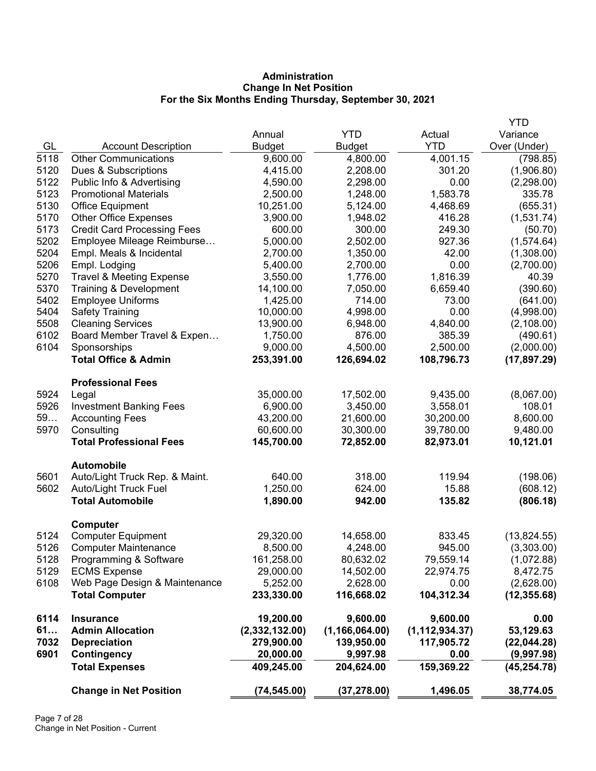# **Administration Change In Net Position For the Six Months Ending Thursday, September 30, 2021**

|      |                                     |                |                  |                  | <b>YTD</b>   |
|------|-------------------------------------|----------------|------------------|------------------|--------------|
|      |                                     | Annual         | <b>YTD</b>       | Actual           | Variance     |
| GL   | <b>Account Description</b>          | <b>Budget</b>  | <b>Budget</b>    | <b>YTD</b>       | Over (Under) |
| 5118 | <b>Other Communications</b>         | 9,600.00       | 4,800.00         | 4,001.15         | (798.85)     |
| 5120 | Dues & Subscriptions                | 4,415.00       | 2,208.00         | 301.20           | (1,906.80)   |
| 5122 | Public Info & Advertising           | 4,590.00       | 2,298.00         | 0.00             | (2,298.00)   |
| 5123 | <b>Promotional Materials</b>        | 2,500.00       | 1,248.00         | 1,583.78         | 335.78       |
| 5130 | <b>Office Equipment</b>             | 10,251.00      | 5,124.00         | 4,468.69         | (655.31)     |
| 5170 | <b>Other Office Expenses</b>        | 3,900.00       | 1,948.02         | 416.28           | (1,531.74)   |
| 5173 | <b>Credit Card Processing Fees</b>  | 600.00         | 300.00           | 249.30           | (50.70)      |
| 5202 | Employee Mileage Reimburse          | 5,000.00       | 2,502.00         | 927.36           | (1,574.64)   |
| 5204 | Empl. Meals & Incidental            | 2,700.00       | 1,350.00         | 42.00            | (1,308.00)   |
| 5206 | Empl. Lodging                       | 5,400.00       | 2,700.00         | 0.00             | (2,700.00)   |
| 5270 | <b>Travel &amp; Meeting Expense</b> | 3,550.00       | 1,776.00         | 1,816.39         | 40.39        |
| 5370 | Training & Development              | 14,100.00      | 7,050.00         | 6,659.40         | (390.60)     |
| 5402 | <b>Employee Uniforms</b>            | 1,425.00       | 714.00           | 73.00            | (641.00)     |
| 5404 | <b>Safety Training</b>              | 10,000.00      | 4,998.00         | 0.00             | (4,998.00)   |
| 5508 | <b>Cleaning Services</b>            | 13,900.00      | 6,948.00         | 4,840.00         | (2,108.00)   |
| 6102 | Board Member Travel & Expen         | 1,750.00       | 876.00           | 385.39           | (490.61)     |
| 6104 | Sponsorships                        | 9,000.00       | 4,500.00         | 2,500.00         | (2,000.00)   |
|      | <b>Total Office &amp; Admin</b>     | 253,391.00     | 126,694.02       | 108,796.73       | (17, 897.29) |
|      | <b>Professional Fees</b>            |                |                  |                  |              |
| 5924 | Legal                               | 35,000.00      | 17,502.00        | 9,435.00         | (8,067.00)   |
| 5926 | <b>Investment Banking Fees</b>      | 6,900.00       | 3,450.00         | 3,558.01         | 108.01       |
| 59   | <b>Accounting Fees</b>              | 43,200.00      | 21,600.00        | 30,200.00        | 8,600.00     |
| 5970 | Consulting                          | 60,600.00      | 30,300.00        | 39,780.00        | 9,480.00     |
|      | <b>Total Professional Fees</b>      | 145,700.00     | 72,852.00        | 82,973.01        | 10,121.01    |
|      | <b>Automobile</b>                   |                |                  |                  |              |
| 5601 | Auto/Light Truck Rep. & Maint.      | 640.00         | 318.00           | 119.94           | (198.06)     |
| 5602 | Auto/Light Truck Fuel               | 1,250.00       | 624.00           | 15.88            | (608.12)     |
|      | <b>Total Automobile</b>             | 1,890.00       | 942.00           | 135.82           | (806.18)     |
|      | <b>Computer</b>                     |                |                  |                  |              |
| 5124 | <b>Computer Equipment</b>           | 29,320.00      | 14,658.00        | 833.45           | (13,824.55)  |
| 5126 | <b>Computer Maintenance</b>         | 8,500.00       | 4,248.00         | 945.00           | (3,303.00)   |
| 5128 | Programming & Software              | 161,258.00     | 80,632.02        | 79,559.14        | (1,072.88)   |
| 5129 | <b>ECMS Expense</b>                 | 29,000.00      | 14,502.00        | 22,974.75        | 8,472.75     |
| 6108 | Web Page Design & Maintenance       | 5,252.00       | 2,628.00         | 0.00             | (2,628.00)   |
|      | <b>Total Computer</b>               | 233,330.00     | 116,668.02       | 104,312.34       | (12, 355.68) |
| 6114 | <b>Insurance</b>                    | 19,200.00      | 9,600.00         | 9,600.00         | 0.00         |
| 61   | <b>Admin Allocation</b>             | (2,332,132.00) | (1, 166, 064.00) | (1, 112, 934.37) | 53,129.63    |
| 7032 | <b>Depreciation</b>                 | 279,900.00     | 139,950.00       | 117,905.72       | (22,044.28)  |
| 6901 | Contingency                         | 20,000.00      | 9,997.98         | 0.00             | (9,997.98)   |
|      | <b>Total Expenses</b>               | 409,245.00     | 204,624.00       | 159,369.22       | (45, 254.78) |
|      | <b>Change in Net Position</b>       | (74, 545.00)   | (37, 278.00)     | 1,496.05         | 38,774.05    |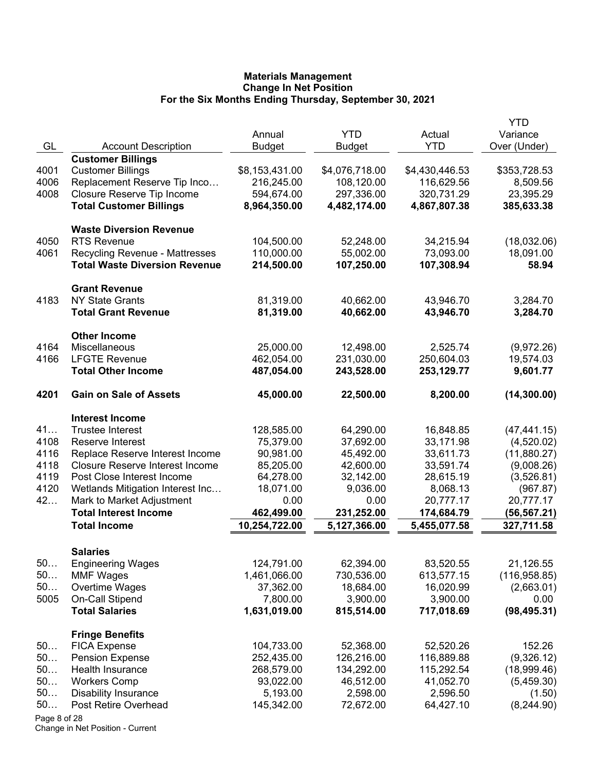|              |                                             |                          |                         |                | YTD                  |
|--------------|---------------------------------------------|--------------------------|-------------------------|----------------|----------------------|
|              |                                             | Annual                   | <b>YTD</b>              | Actual         | Variance             |
| GL           | <b>Account Description</b>                  | <b>Budget</b>            | <b>Budget</b>           | <b>YTD</b>     | Over (Under)         |
|              | <b>Customer Billings</b>                    |                          |                         |                |                      |
| 4001         | <b>Customer Billings</b>                    | \$8,153,431.00           | \$4,076,718.00          | \$4,430,446.53 | \$353,728.53         |
| 4006         | Replacement Reserve Tip Inco                | 216,245.00               | 108,120.00              | 116,629.56     | 8,509.56             |
| 4008         | Closure Reserve Tip Income                  | 594,674.00               | 297,336.00              | 320,731.29     | 23,395.29            |
|              | <b>Total Customer Billings</b>              | 8,964,350.00             | 4,482,174.00            | 4,867,807.38   | 385,633.38           |
|              | <b>Waste Diversion Revenue</b>              |                          |                         |                |                      |
| 4050         | <b>RTS Revenue</b>                          | 104,500.00               | 52,248.00               | 34,215.94      | (18,032.06)          |
| 4061         | <b>Recycling Revenue - Mattresses</b>       | 110,000.00               | 55,002.00               | 73,093.00      | 18,091.00            |
|              | <b>Total Waste Diversion Revenue</b>        | 214,500.00               | 107,250.00              | 107,308.94     | 58.94                |
|              | <b>Grant Revenue</b>                        |                          |                         |                |                      |
| 4183         | <b>NY State Grants</b>                      | 81,319.00                | 40,662.00               | 43,946.70      | 3,284.70             |
|              | <b>Total Grant Revenue</b>                  | 81,319.00                | 40,662.00               | 43,946.70      | 3,284.70             |
|              | <b>Other Income</b>                         |                          |                         |                |                      |
| 4164         | Miscellaneous                               | 25,000.00                | 12,498.00               | 2,525.74       | (9,972.26)           |
| 4166         | <b>LFGTE Revenue</b>                        | 462,054.00               | 231,030.00              | 250,604.03     | 19,574.03            |
|              | <b>Total Other Income</b>                   | 487,054.00               | 243,528.00              | 253,129.77     | 9,601.77             |
| 4201         | <b>Gain on Sale of Assets</b>               | 45,000.00                | 22,500.00               | 8,200.00       | (14, 300.00)         |
|              | <b>Interest Income</b>                      |                          |                         |                |                      |
| 41           | <b>Trustee Interest</b>                     | 128,585.00               | 64,290.00               | 16,848.85      | (47, 441.15)         |
| 4108         | Reserve Interest                            | 75,379.00                | 37,692.00               | 33,171.98      | (4,520.02)           |
| 4116         | Replace Reserve Interest Income             | 90,981.00                | 45,492.00               | 33,611.73      | (11,880.27)          |
| 4118         | <b>Closure Reserve Interest Income</b>      | 85,205.00                | 42,600.00               | 33,591.74      | (9,008.26)           |
| 4119         | Post Close Interest Income                  | 64,278.00                | 32,142.00               | 28,615.19      | (3,526.81)           |
| 4120         | Wetlands Mitigation Interest Inc            | 18,071.00                | 9,036.00                | 8,068.13       | (967.87)             |
| 42           | Mark to Market Adjustment                   | 0.00                     | 0.00                    | 20,777.17      | 20,777.17            |
|              | <b>Total Interest Income</b>                | 462,499.00               | 231,252.00              | 174,684.79     | (56, 567.21)         |
|              | <b>Total Income</b>                         | 10,254,722.00            | 5,127,366.00            | 5,455,077.58   | 327,711.58           |
|              |                                             |                          |                         |                |                      |
| 50           | <b>Salaries</b><br><b>Engineering Wages</b> | 124,791.00               | 62,394.00               | 83,520.55      | 21,126.55            |
| 50           | <b>MMF Wages</b>                            | 1,461,066.00             | 730,536.00              | 613,577.15     | (116, 958.85)        |
| 50           | Overtime Wages                              | 37,362.00                | 18,684.00               | 16,020.99      | (2,663.01)           |
| 5005         | <b>On-Call Stipend</b>                      | 7,800.00                 | 3,900.00                | 3,900.00       | 0.00                 |
|              | <b>Total Salaries</b>                       | 1,631,019.00             | 815,514.00              | 717,018.69     | (98, 495.31)         |
|              |                                             |                          |                         |                |                      |
|              | <b>Fringe Benefits</b>                      |                          |                         | 52,520.26      | 152.26               |
| 50<br>50     | <b>FICA Expense</b>                         | 104,733.00<br>252,435.00 | 52,368.00<br>126,216.00 | 116,889.88     | (9,326.12)           |
| 50           | <b>Pension Expense</b><br>Health Insurance  | 268,579.00               | 134,292.00              | 115,292.54     |                      |
| 50           | <b>Workers Comp</b>                         | 93,022.00                | 46,512.00               | 41,052.70      | (18,999.46)          |
| 50           | <b>Disability Insurance</b>                 | 5,193.00                 | 2,598.00                | 2,596.50       | (5,459.30)           |
| 50           | Post Retire Overhead                        | 145,342.00               | 72,672.00               | 64,427.10      | (1.50)<br>(8,244.90) |
| Page 8 of 28 |                                             |                          |                         |                |                      |
|              |                                             |                          |                         |                |                      |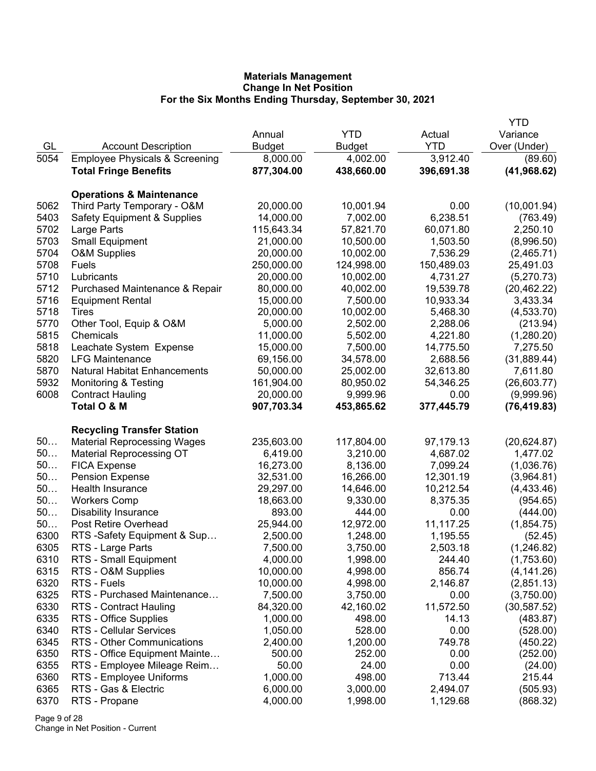|      |                                           |               |               |            | <b>YTD</b>   |
|------|-------------------------------------------|---------------|---------------|------------|--------------|
|      |                                           | Annual        | <b>YTD</b>    | Actual     | Variance     |
| GL   | <b>Account Description</b>                | <b>Budget</b> | <b>Budget</b> | <b>YTD</b> | Over (Under) |
| 5054 | <b>Employee Physicals &amp; Screening</b> | 8,000.00      | 4,002.00      | 3,912.40   | (89.60)      |
|      | <b>Total Fringe Benefits</b>              | 877,304.00    | 438,660.00    | 396,691.38 | (41, 968.62) |
|      |                                           |               |               |            |              |
|      | <b>Operations &amp; Maintenance</b>       |               |               |            |              |
| 5062 | Third Party Temporary - O&M               | 20,000.00     | 10,001.94     | 0.00       | (10,001.94)  |
| 5403 | <b>Safety Equipment &amp; Supplies</b>    | 14,000.00     | 7,002.00      | 6,238.51   | (763.49)     |
| 5702 | Large Parts                               | 115,643.34    | 57,821.70     | 60,071.80  | 2,250.10     |
| 5703 | <b>Small Equipment</b>                    | 21,000.00     | 10,500.00     | 1,503.50   | (8,996.50)   |
| 5704 | <b>O&amp;M Supplies</b>                   | 20,000.00     | 10,002.00     | 7,536.29   | (2,465.71)   |
| 5708 | Fuels                                     | 250,000.00    | 124,998.00    | 150,489.03 | 25,491.03    |
| 5710 | Lubricants                                | 20,000.00     | 10,002.00     | 4,731.27   | (5,270.73)   |
| 5712 | Purchased Maintenance & Repair            | 80,000.00     | 40,002.00     | 19,539.78  | (20, 462.22) |
| 5716 | <b>Equipment Rental</b>                   | 15,000.00     | 7,500.00      | 10,933.34  | 3,433.34     |
| 5718 | Tires                                     | 20,000.00     | 10,002.00     | 5,468.30   | (4,533.70)   |
| 5770 | Other Tool, Equip & O&M                   | 5,000.00      | 2,502.00      | 2,288.06   | (213.94)     |
| 5815 | Chemicals                                 | 11,000.00     | 5,502.00      | 4,221.80   | (1,280.20)   |
| 5818 | Leachate System Expense                   | 15,000.00     | 7,500.00      | 14,775.50  | 7,275.50     |
| 5820 | <b>LFG Maintenance</b>                    | 69,156.00     | 34,578.00     | 2,688.56   | (31,889.44)  |
| 5870 | <b>Natural Habitat Enhancements</b>       | 50,000.00     | 25,002.00     | 32,613.80  | 7,611.80     |
| 5932 | <b>Monitoring &amp; Testing</b>           | 161,904.00    | 80,950.02     | 54,346.25  | (26,603.77)  |
| 6008 | <b>Contract Hauling</b>                   | 20,000.00     | 9,999.96      | 0.00       | (9,999.96)   |
|      | Total O & M                               | 907,703.34    | 453,865.62    | 377,445.79 | (76, 419.83) |
|      | <b>Recycling Transfer Station</b>         |               |               |            |              |
| 50   | <b>Material Reprocessing Wages</b>        | 235,603.00    | 117,804.00    | 97,179.13  | (20, 624.87) |
| 50   | <b>Material Reprocessing OT</b>           | 6,419.00      | 3,210.00      | 4,687.02   | 1,477.02     |
| 50   | <b>FICA Expense</b>                       | 16,273.00     | 8,136.00      | 7,099.24   | (1,036.76)   |
| 50   | <b>Pension Expense</b>                    | 32,531.00     | 16,266.00     | 12,301.19  | (3,964.81)   |
| 50   | Health Insurance                          | 29,297.00     | 14,646.00     | 10,212.54  | (4,433.46)   |
| 50   | <b>Workers Comp</b>                       | 18,663.00     | 9,330.00      | 8,375.35   | (954.65)     |
| 50   | <b>Disability Insurance</b>               | 893.00        | 444.00        | 0.00       | (444.00)     |
| 50   | Post Retire Overhead                      | 25,944.00     | 12,972.00     | 11,117.25  | (1,854.75)   |
| 6300 | RTS-Safety Equipment & Sup                | 2,500.00      | 1,248.00      | 1,195.55   | (52.45)      |
| 6305 | RTS - Large Parts                         | 7,500.00      | 3,750.00      | 2,503.18   | (1, 246.82)  |
| 6310 | RTS - Small Equipment                     | 4,000.00      | 1,998.00      | 244.40     | (1,753.60)   |
| 6315 | RTS - O&M Supplies                        | 10,000.00     | 4,998.00      | 856.74     | (4, 141.26)  |
| 6320 | RTS - Fuels                               | 10,000.00     | 4,998.00      | 2,146.87   | (2,851.13)   |
| 6325 | RTS - Purchased Maintenance               | 7,500.00      | 3,750.00      | 0.00       | (3,750.00)   |
| 6330 | RTS - Contract Hauling                    | 84,320.00     | 42,160.02     | 11,572.50  | (30, 587.52) |
| 6335 | RTS - Office Supplies                     | 1,000.00      | 498.00        | 14.13      | (483.87)     |
| 6340 | RTS - Cellular Services                   | 1,050.00      | 528.00        | 0.00       | (528.00)     |
| 6345 | RTS - Other Communications                | 2,400.00      | 1,200.00      | 749.78     | (450.22)     |
| 6350 | RTS - Office Equipment Mainte             | 500.00        | 252.00        | 0.00       | (252.00)     |
| 6355 | RTS - Employee Mileage Reim               | 50.00         | 24.00         | 0.00       | (24.00)      |
| 6360 | RTS - Employee Uniforms                   | 1,000.00      | 498.00        | 713.44     | 215.44       |
| 6365 | RTS - Gas & Electric                      | 6,000.00      | 3,000.00      | 2,494.07   | (505.93)     |
| 6370 | RTS - Propane                             | 4,000.00      | 1,998.00      | 1,129.68   | (868.32)     |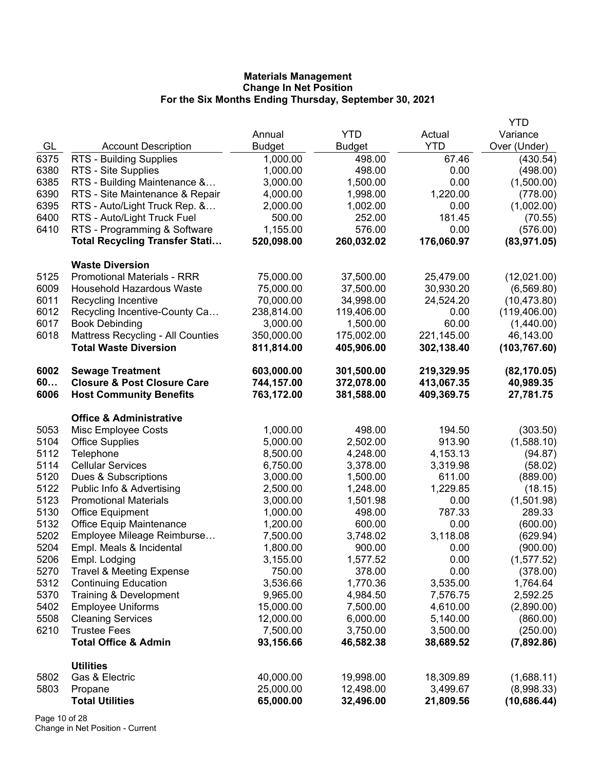|      |                                        |               |               |            | <b>YTD</b>    |
|------|----------------------------------------|---------------|---------------|------------|---------------|
|      |                                        | Annual        | <b>YTD</b>    | Actual     | Variance      |
| GL   | <b>Account Description</b>             | <b>Budget</b> | <b>Budget</b> | <b>YTD</b> | Over (Under)  |
| 6375 | RTS - Building Supplies                | 1,000.00      | 498.00        | 67.46      | (430.54)      |
| 6380 | RTS - Site Supplies                    | 1,000.00      | 498.00        | 0.00       | (498.00)      |
| 6385 | RTS - Building Maintenance &           | 3,000.00      | 1,500.00      | 0.00       | (1,500.00)    |
| 6390 | RTS - Site Maintenance & Repair        | 4,000.00      | 1,998.00      | 1,220.00   | (778.00)      |
| 6395 | RTS - Auto/Light Truck Rep. &          | 2,000.00      | 1,002.00      | 0.00       | (1,002.00)    |
| 6400 | RTS - Auto/Light Truck Fuel            | 500.00        | 252.00        | 181.45     | (70.55)       |
| 6410 | RTS - Programming & Software           | 1,155.00      | 576.00        | 0.00       | (576.00)      |
|      | <b>Total Recycling Transfer Stati</b>  | 520,098.00    | 260,032.02    | 176,060.97 | (83, 971.05)  |
|      | <b>Waste Diversion</b>                 |               |               |            |               |
| 5125 | <b>Promotional Materials - RRR</b>     | 75,000.00     | 37,500.00     | 25,479.00  | (12,021.00)   |
| 6009 | <b>Household Hazardous Waste</b>       | 75,000.00     | 37,500.00     | 30,930.20  | (6, 569.80)   |
| 6011 | Recycling Incentive                    | 70,000.00     | 34,998.00     | 24,524.20  | (10, 473.80)  |
| 6012 | Recycling Incentive-County Ca          | 238,814.00    | 119,406.00    | 0.00       | (119, 406.00) |
| 6017 | <b>Book Debinding</b>                  | 3,000.00      | 1,500.00      | 60.00      | (1,440.00)    |
| 6018 | Mattress Recycling - All Counties      | 350,000.00    | 175,002.00    | 221,145.00 | 46,143.00     |
|      | <b>Total Waste Diversion</b>           | 811,814.00    | 405,906.00    | 302,138.40 | (103, 767.60) |
| 6002 | <b>Sewage Treatment</b>                | 603,000.00    | 301,500.00    | 219,329.95 | (82, 170.05)  |
| 60   | <b>Closure &amp; Post Closure Care</b> | 744,157.00    | 372,078.00    | 413,067.35 | 40,989.35     |
| 6006 | <b>Host Community Benefits</b>         | 763,172.00    | 381,588.00    | 409,369.75 | 27,781.75     |
|      | <b>Office &amp; Administrative</b>     |               |               |            |               |
| 5053 | Misc Employee Costs                    | 1,000.00      | 498.00        | 194.50     | (303.50)      |
| 5104 | <b>Office Supplies</b>                 | 5,000.00      | 2,502.00      | 913.90     | (1,588.10)    |
| 5112 | Telephone                              | 8,500.00      | 4,248.00      | 4, 153. 13 | (94.87)       |
| 5114 | <b>Cellular Services</b>               | 6,750.00      | 3,378.00      | 3,319.98   | (58.02)       |
| 5120 | Dues & Subscriptions                   | 3,000.00      | 1,500.00      | 611.00     | (889.00)      |
| 5122 | Public Info & Advertising              | 2,500.00      | 1,248.00      | 1,229.85   | (18.15)       |
| 5123 | <b>Promotional Materials</b>           | 3,000.00      | 1,501.98      | 0.00       | (1,501.98)    |
| 5130 | <b>Office Equipment</b>                | 1,000.00      | 498.00        | 787.33     | 289.33        |
| 5132 | <b>Office Equip Maintenance</b>        | 1,200.00      | 600.00        | 0.00       | (600.00)      |
| 5202 | Employee Mileage Reimburse             | 7,500.00      | 3,748.02      | 3,118.08   | (629.94)      |
| 5204 | Empl. Meals & Incidental               | 1,800.00      | 900.00        | 0.00       | (900.00)      |
| 5206 | Empl. Lodging                          | 3,155.00      | 1,577.52      | 0.00       | (1, 577.52)   |
| 5270 | <b>Travel &amp; Meeting Expense</b>    | 750.00        | 378.00        | 0.00       | (378.00)      |
| 5312 | <b>Continuing Education</b>            | 3,536.66      | 1,770.36      | 3,535.00   | 1,764.64      |
| 5370 | Training & Development                 | 9,965.00      | 4,984.50      | 7,576.75   | 2,592.25      |
| 5402 | <b>Employee Uniforms</b>               | 15,000.00     | 7,500.00      | 4,610.00   | (2,890.00)    |
| 5508 | <b>Cleaning Services</b>               | 12,000.00     | 6,000.00      | 5,140.00   | (860.00)      |
| 6210 | <b>Trustee Fees</b>                    | 7,500.00      | 3,750.00      | 3,500.00   | (250.00)      |
|      | <b>Total Office &amp; Admin</b>        | 93,156.66     | 46,582.38     | 38,689.52  | (7,892.86)    |
|      | <b>Utilities</b>                       |               |               |            |               |
| 5802 | Gas & Electric                         | 40,000.00     | 19,998.00     | 18,309.89  | (1,688.11)    |
| 5803 | Propane                                | 25,000.00     | 12,498.00     | 3,499.67   | (8,998.33)    |
|      | <b>Total Utilities</b>                 | 65,000.00     | 32,496.00     | 21,809.56  | (10, 686.44)  |

Page 10 of 28 Change in Net Position - Current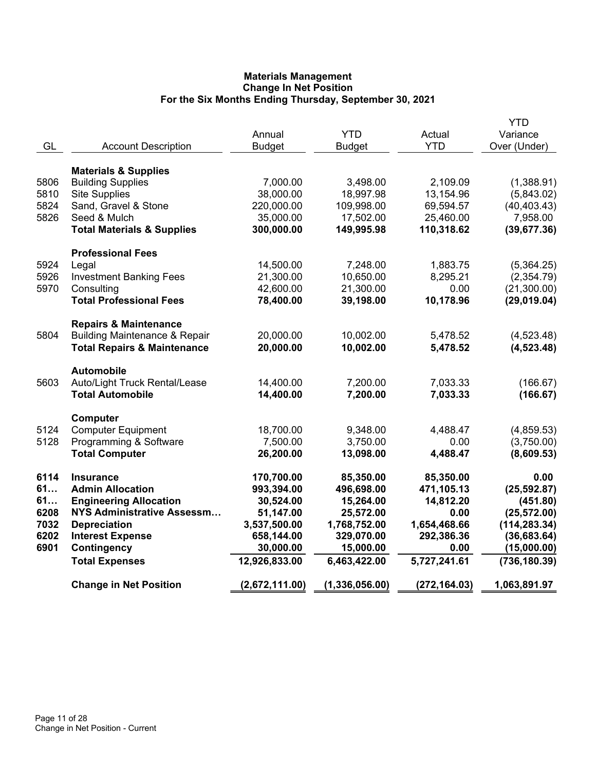|      |                                          |                |                |               | <b>YTD</b>    |
|------|------------------------------------------|----------------|----------------|---------------|---------------|
|      |                                          | Annual         | <b>YTD</b>     | Actual        | Variance      |
| GL   | <b>Account Description</b>               | <b>Budget</b>  | <b>Budget</b>  | <b>YTD</b>    | Over (Under)  |
|      | <b>Materials &amp; Supplies</b>          |                |                |               |               |
| 5806 | <b>Building Supplies</b>                 | 7,000.00       | 3,498.00       | 2,109.09      | (1,388.91)    |
| 5810 | <b>Site Supplies</b>                     | 38,000.00      | 18,997.98      | 13,154.96     | (5,843.02)    |
| 5824 | Sand, Gravel & Stone                     | 220,000.00     | 109,998.00     | 69,594.57     | (40, 403.43)  |
| 5826 | Seed & Mulch                             | 35,000.00      | 17,502.00      | 25,460.00     | 7,958.00      |
|      | <b>Total Materials &amp; Supplies</b>    | 300,000.00     | 149,995.98     | 110,318.62    | (39, 677.36)  |
|      | <b>Professional Fees</b>                 |                |                |               |               |
| 5924 | Legal                                    | 14,500.00      | 7,248.00       | 1,883.75      | (5,364.25)    |
| 5926 | <b>Investment Banking Fees</b>           | 21,300.00      | 10,650.00      | 8,295.21      | (2,354.79)    |
| 5970 | Consulting                               | 42,600.00      | 21,300.00      | 0.00          | (21,300.00)   |
|      | <b>Total Professional Fees</b>           | 78,400.00      | 39,198.00      | 10,178.96     | (29,019.04)   |
|      | <b>Repairs &amp; Maintenance</b>         |                |                |               |               |
| 5804 | <b>Building Maintenance &amp; Repair</b> | 20,000.00      | 10,002.00      | 5,478.52      | (4,523.48)    |
|      | <b>Total Repairs &amp; Maintenance</b>   | 20,000.00      | 10,002.00      | 5,478.52      | (4, 523.48)   |
|      | <b>Automobile</b>                        |                |                |               |               |
| 5603 | Auto/Light Truck Rental/Lease            | 14,400.00      | 7,200.00       | 7,033.33      | (166.67)      |
|      | <b>Total Automobile</b>                  | 14,400.00      | 7,200.00       | 7,033.33      | (166.67)      |
|      | Computer                                 |                |                |               |               |
| 5124 | <b>Computer Equipment</b>                | 18,700.00      | 9,348.00       | 4,488.47      | (4,859.53)    |
| 5128 | Programming & Software                   | 7,500.00       | 3,750.00       | 0.00          | (3,750.00)    |
|      | <b>Total Computer</b>                    | 26,200.00      | 13,098.00      | 4,488.47      | (8,609.53)    |
| 6114 | <b>Insurance</b>                         | 170,700.00     | 85,350.00      | 85,350.00     | 0.00          |
| 61   | <b>Admin Allocation</b>                  | 993,394.00     | 496,698.00     | 471,105.13    | (25, 592.87)  |
| 61   | <b>Engineering Allocation</b>            | 30,524.00      | 15,264.00      | 14,812.20     | (451.80)      |
| 6208 | NYS Administrative Assessm               | 51,147.00      | 25,572.00      | 0.00          | (25, 572.00)  |
| 7032 | <b>Depreciation</b>                      | 3,537,500.00   | 1,768,752.00   | 1,654,468.66  | (114, 283.34) |
| 6202 | <b>Interest Expense</b>                  | 658,144.00     | 329,070.00     | 292,386.36    | (36, 683.64)  |
| 6901 | Contingency                              | 30,000.00      | 15,000.00      | 0.00          | (15,000.00)   |
|      | <b>Total Expenses</b>                    | 12,926,833.00  | 6,463,422.00   | 5,727,241.61  | (736, 180.39) |
|      | <b>Change in Net Position</b>            | (2,672,111.00) | (1,336,056.00) | (272, 164.03) | 1,063,891.97  |
|      |                                          |                |                |               |               |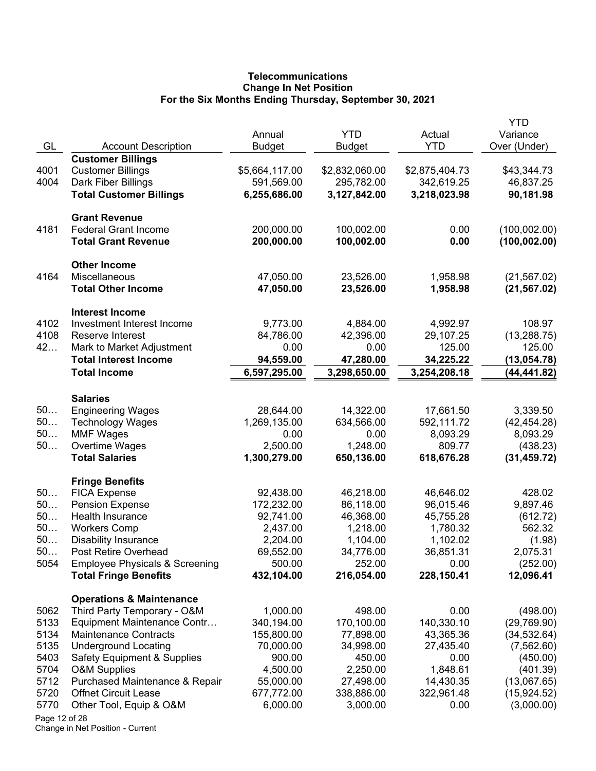# **Telecommunications Change In Net Position For the Six Months Ending Thursday, September 30, 2021**

| GL            | <b>Account Description</b>                          | Annual<br><b>Budget</b>   | <b>YTD</b><br><b>Budget</b> | Actual<br><b>YTD</b>      | YTD<br>Variance<br>Over (Under) |
|---------------|-----------------------------------------------------|---------------------------|-----------------------------|---------------------------|---------------------------------|
|               | <b>Customer Billings</b>                            |                           |                             |                           |                                 |
| 4001          | <b>Customer Billings</b>                            | \$5,664,117.00            | \$2,832,060.00              | \$2,875,404.73            | \$43,344.73                     |
| 4004          | Dark Fiber Billings                                 | 591,569.00                | 295,782.00                  | 342,619.25                | 46,837.25                       |
|               | <b>Total Customer Billings</b>                      | 6,255,686.00              | 3,127,842.00                | 3,218,023.98              | 90,181.98                       |
|               | <b>Grant Revenue</b>                                |                           |                             |                           |                                 |
| 4181          | <b>Federal Grant Income</b>                         | 200,000.00                | 100,002.00                  | 0.00                      | (100, 002.00)                   |
|               | <b>Total Grant Revenue</b>                          | 200,000.00                | 100,002.00                  | 0.00                      | (100, 002.00)                   |
|               | <b>Other Income</b>                                 |                           |                             |                           |                                 |
| 4164          | Miscellaneous                                       | 47,050.00                 | 23,526.00                   | 1,958.98                  | (21, 567.02)                    |
|               | <b>Total Other Income</b>                           | 47,050.00                 | 23,526.00                   | 1,958.98                  | (21, 567.02)                    |
|               | <b>Interest Income</b>                              |                           |                             |                           |                                 |
| 4102          | Investment Interest Income                          | 9,773.00                  | 4,884.00                    | 4,992.97                  | 108.97                          |
| 4108          | Reserve Interest                                    | 84,786.00                 | 42,396.00                   | 29,107.25                 | (13, 288.75)                    |
| 42            | Mark to Market Adjustment                           | 0.00                      | 0.00                        | 125.00                    | 125.00                          |
|               | <b>Total Interest Income</b><br><b>Total Income</b> | 94,559.00<br>6,597,295.00 | 47,280.00<br>3,298,650.00   | 34,225.22<br>3,254,208.18 | (13, 054.78)<br>(44, 441.82)    |
|               |                                                     |                           |                             |                           |                                 |
|               | <b>Salaries</b>                                     |                           |                             |                           |                                 |
| 50            | <b>Engineering Wages</b>                            | 28,644.00                 | 14,322.00                   | 17,661.50                 | 3,339.50                        |
| 50            | <b>Technology Wages</b>                             | 1,269,135.00              | 634,566.00                  | 592,111.72                | (42, 454.28)                    |
| 50<br>50      | <b>MMF Wages</b>                                    | 0.00<br>2,500.00          | 0.00<br>1,248.00            | 8,093.29<br>809.77        | 8,093.29                        |
|               | Overtime Wages<br><b>Total Salaries</b>             | 1,300,279.00              | 650,136.00                  | 618,676.28                | (438.23)<br>(31, 459.72)        |
|               |                                                     |                           |                             |                           |                                 |
|               | <b>Fringe Benefits</b>                              |                           |                             |                           |                                 |
| 50<br>50      | <b>FICA Expense</b>                                 | 92,438.00<br>172,232.00   | 46,218.00                   | 46,646.02                 | 428.02                          |
| 50            | <b>Pension Expense</b><br>Health Insurance          | 92,741.00                 | 86,118.00<br>46,368.00      | 96,015.46<br>45,755.28    | 9,897.46                        |
| 50            | <b>Workers Comp</b>                                 | 2,437.00                  | 1,218.00                    | 1,780.32                  | (612.72)<br>562.32              |
| 50            | <b>Disability Insurance</b>                         | 2,204.00                  | 1,104.00                    | 1,102.02                  | (1.98)                          |
| 50            | Post Retire Overhead                                | 69,552.00                 | 34,776.00                   | 36,851.31                 | 2,075.31                        |
| 5054          | <b>Employee Physicals &amp; Screening</b>           | 500.00                    | 252.00                      | 0.00                      | (252.00)                        |
|               | <b>Total Fringe Benefits</b>                        | 432,104.00                | 216,054.00                  | 228,150.41                | 12,096.41                       |
|               | <b>Operations &amp; Maintenance</b>                 |                           |                             |                           |                                 |
| 5062          | Third Party Temporary - O&M                         | 1,000.00                  | 498.00                      | 0.00                      | (498.00)                        |
| 5133          | Equipment Maintenance Contr                         | 340,194.00                | 170,100.00                  | 140,330.10                | (29,769.90)                     |
| 5134          | <b>Maintenance Contracts</b>                        | 155,800.00                | 77,898.00                   | 43,365.36                 | (34, 532.64)                    |
| 5135          | <b>Underground Locating</b>                         | 70,000.00                 | 34,998.00                   | 27,435.40                 | (7, 562.60)                     |
| 5403          | <b>Safety Equipment &amp; Supplies</b>              | 900.00                    | 450.00                      | 0.00                      | (450.00)                        |
| 5704          | <b>O&amp;M Supplies</b>                             | 4,500.00                  | 2,250.00                    | 1,848.61                  | (401.39)                        |
| 5712          | Purchased Maintenance & Repair                      | 55,000.00                 | 27,498.00                   | 14,430.35                 | (13,067.65)                     |
| 5720          | <b>Offnet Circuit Lease</b>                         | 677,772.00                | 338,886.00                  | 322,961.48                | (15,924.52)                     |
| 5770          | Other Tool, Equip & O&M                             | 6,000.00                  | 3,000.00                    | 0.00                      | (3,000.00)                      |
| Page 12 of 28 |                                                     |                           |                             |                           |                                 |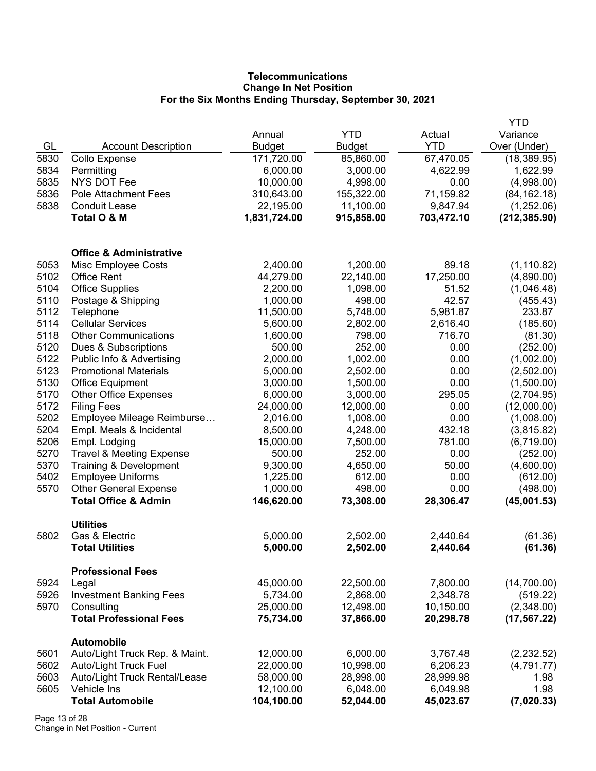# **Telecommunications Change In Net Position For the Six Months Ending Thursday, September 30, 2021**

|      |                                                     |               |            |            | YTD           |
|------|-----------------------------------------------------|---------------|------------|------------|---------------|
|      |                                                     | Annual        | <b>YTD</b> | Actual     | Variance      |
| GL   | <b>Account Description</b>                          | <b>Budget</b> | Budget     | <b>YTD</b> | Over (Under)  |
| 5830 | Collo Expense                                       | 171,720.00    | 85,860.00  | 67,470.05  | (18, 389.95)  |
| 5834 | Permitting                                          | 6,000.00      | 3,000.00   | 4,622.99   | 1,622.99      |
| 5835 | <b>NYS DOT Fee</b>                                  | 10,000.00     | 4,998.00   | 0.00       | (4,998.00)    |
| 5836 | <b>Pole Attachment Fees</b>                         | 310,643.00    | 155,322.00 | 71,159.82  | (84, 162.18)  |
| 5838 | <b>Conduit Lease</b>                                | 22,195.00     | 11,100.00  | 9,847.94   | (1,252.06)    |
|      | Total O & M                                         | 1,831,724.00  | 915,858.00 | 703,472.10 | (212, 385.90) |
|      | <b>Office &amp; Administrative</b>                  |               |            |            |               |
| 5053 | Misc Employee Costs                                 | 2,400.00      | 1,200.00   | 89.18      | (1, 110.82)   |
| 5102 | <b>Office Rent</b>                                  | 44,279.00     | 22,140.00  | 17,250.00  | (4,890.00)    |
| 5104 | <b>Office Supplies</b>                              | 2,200.00      | 1,098.00   | 51.52      | (1,046.48)    |
| 5110 | Postage & Shipping                                  | 1,000.00      | 498.00     | 42.57      | (455.43)      |
| 5112 | Telephone                                           | 11,500.00     | 5,748.00   | 5,981.87   | 233.87        |
| 5114 | <b>Cellular Services</b>                            | 5,600.00      | 2,802.00   | 2,616.40   | (185.60)      |
| 5118 | <b>Other Communications</b>                         | 1,600.00      | 798.00     | 716.70     | (81.30)       |
| 5120 | Dues & Subscriptions                                | 500.00        | 252.00     | 0.00       | (252.00)      |
| 5122 | Public Info & Advertising                           | 2,000.00      | 1,002.00   | 0.00       | (1,002.00)    |
| 5123 | <b>Promotional Materials</b>                        | 5,000.00      | 2,502.00   | 0.00       | (2,502.00)    |
| 5130 | <b>Office Equipment</b>                             | 3,000.00      | 1,500.00   | 0.00       | (1,500.00)    |
| 5170 | <b>Other Office Expenses</b>                        | 6,000.00      | 3,000.00   | 295.05     | (2,704.95)    |
| 5172 | <b>Filing Fees</b>                                  | 24,000.00     | 12,000.00  | 0.00       | (12,000.00)   |
| 5202 | Employee Mileage Reimburse                          | 2,016.00      | 1,008.00   | 0.00       | (1,008.00)    |
| 5204 | Empl. Meals & Incidental                            | 8,500.00      | 4,248.00   | 432.18     | (3,815.82)    |
| 5206 | Empl. Lodging                                       | 15,000.00     | 7,500.00   | 781.00     | (6,719.00)    |
| 5270 | <b>Travel &amp; Meeting Expense</b>                 | 500.00        | 252.00     | 0.00       | (252.00)      |
| 5370 | Training & Development                              | 9,300.00      | 4,650.00   | 50.00      | (4,600.00)    |
| 5402 | <b>Employee Uniforms</b>                            | 1,225.00      | 612.00     | 0.00       | (612.00)      |
| 5570 | <b>Other General Expense</b>                        | 1,000.00      | 498.00     | 0.00       | (498.00)      |
|      | <b>Total Office &amp; Admin</b>                     | 146,620.00    | 73,308.00  | 28,306.47  | (45,001.53)   |
| 5802 | <b>Utilities</b><br>Gas & Electric                  | 5,000.00      | 2,502.00   | 2,440.64   | (61.36)       |
|      | <b>Total Utilities</b>                              | 5,000.00      | 2,502.00   | 2,440.64   | (61.36)       |
|      | <b>Professional Fees</b>                            |               |            |            |               |
| 5924 | Legal                                               | 45,000.00     | 22,500.00  | 7,800.00   | (14,700.00)   |
| 5926 | <b>Investment Banking Fees</b>                      | 5,734.00      | 2,868.00   | 2,348.78   | (519.22)      |
| 5970 | Consulting                                          | 25,000.00     | 12,498.00  | 10,150.00  | (2,348.00)    |
|      | <b>Total Professional Fees</b>                      | 75,734.00     | 37,866.00  | 20,298.78  | (17, 567.22)  |
| 5601 | <b>Automobile</b><br>Auto/Light Truck Rep. & Maint. | 12,000.00     | 6,000.00   | 3,767.48   | (2,232.52)    |
| 5602 | Auto/Light Truck Fuel                               | 22,000.00     | 10,998.00  | 6,206.23   | (4,791.77)    |
| 5603 | Auto/Light Truck Rental/Lease                       | 58,000.00     | 28,998.00  | 28,999.98  | 1.98          |
| 5605 | Vehicle Ins                                         | 12,100.00     | 6,048.00   | 6,049.98   | 1.98          |
|      | <b>Total Automobile</b>                             | 104,100.00    | 52,044.00  | 45,023.67  | (7,020.33)    |
|      |                                                     |               |            |            |               |

Page 13 of 28 Change in Net Position - Current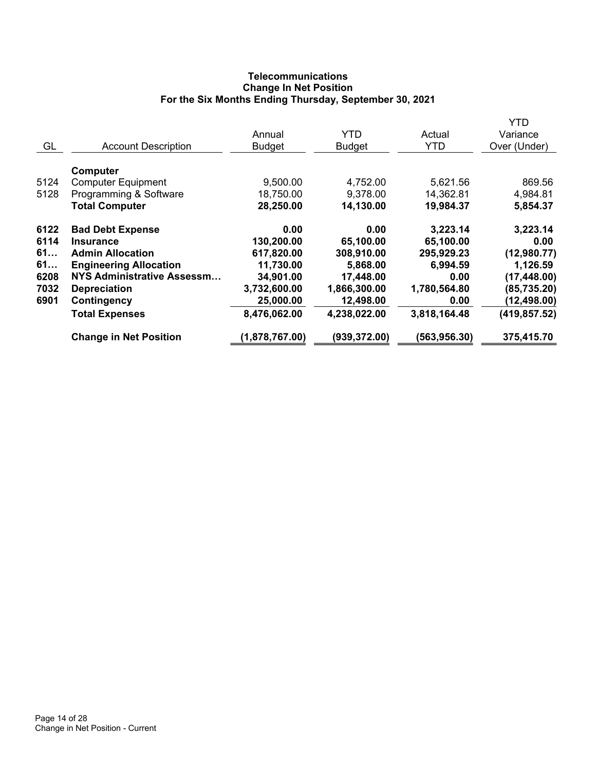# **Telecommunications Change In Net Position For the Six Months Ending Thursday, September 30, 2021**

|      |                                   |                |               |               | YTD           |
|------|-----------------------------------|----------------|---------------|---------------|---------------|
|      |                                   | Annual         | <b>YTD</b>    | Actual        | Variance      |
| GL   | <b>Account Description</b>        | <b>Budget</b>  | <b>Budget</b> | <b>YTD</b>    | Over (Under)  |
|      |                                   |                |               |               |               |
|      | Computer                          |                |               |               |               |
| 5124 | <b>Computer Equipment</b>         | 9,500.00       | 4,752.00      | 5,621.56      | 869.56        |
| 5128 | Programming & Software            | 18,750.00      | 9,378.00      | 14,362.81     | 4,984.81      |
|      | <b>Total Computer</b>             | 28,250.00      | 14,130.00     | 19,984.37     | 5,854.37      |
| 6122 | <b>Bad Debt Expense</b>           | 0.00           | 0.00          | 3,223.14      | 3,223.14      |
| 6114 | <b>Insurance</b>                  | 130,200.00     | 65,100.00     | 65,100.00     | 0.00          |
| 61   | <b>Admin Allocation</b>           | 617,820.00     | 308,910.00    | 295,929.23    | (12,980.77)   |
| 61   | <b>Engineering Allocation</b>     | 11,730.00      | 5,868.00      | 6,994.59      | 1,126.59      |
| 6208 | <b>NYS Administrative Assessm</b> | 34,901.00      | 17,448.00     | 0.00          | (17, 448.00)  |
| 7032 | <b>Depreciation</b>               | 3,732,600.00   | 1,866,300.00  | 1,780,564.80  | (85, 735.20)  |
| 6901 | Contingency                       | 25,000.00      | 12,498.00     | 0.00          | (12, 498.00)  |
|      | <b>Total Expenses</b>             | 8,476,062.00   | 4,238,022.00  | 3,818,164.48  | (419, 857.52) |
|      | <b>Change in Net Position</b>     | (1,878,767.00) | (939, 372.00) | (563, 956.30) | 375,415.70    |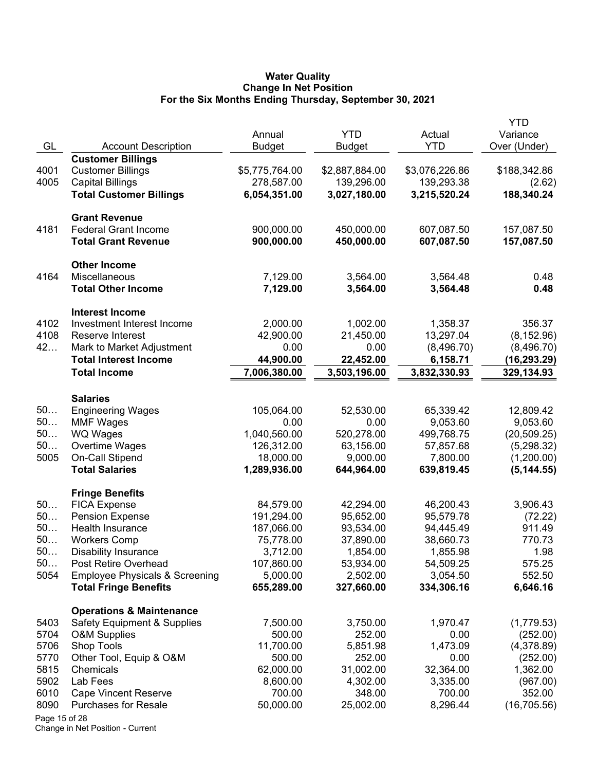#### **Water Quality Change In Net Position For the Six Months Ending Thursday, September 30, 2021**

| <b>YTD</b><br>Actual<br>Annual                                                                                                        | Variance                                     |
|---------------------------------------------------------------------------------------------------------------------------------------|----------------------------------------------|
| GL<br><b>Account Description</b><br><b>YTD</b><br><b>Budget</b><br>Budget                                                             | Over (Under)                                 |
| <b>Customer Billings</b>                                                                                                              |                                              |
| 4001<br><b>Customer Billings</b><br>\$5,775,764.00<br>\$2,887,884.00                                                                  | \$3,076,226.86<br>\$188,342.86               |
| 4005<br><b>Capital Billings</b><br>278,587.00<br>139,296.00                                                                           | 139,293.38<br>(2.62)                         |
| <b>Total Customer Billings</b><br>6,054,351.00<br>3,027,180.00                                                                        | 188,340.24<br>3,215,520.24                   |
| <b>Grant Revenue</b>                                                                                                                  |                                              |
| <b>Federal Grant Income</b><br>4181<br>900,000.00<br>450,000.00                                                                       | 607,087.50<br>157,087.50                     |
| 900,000.00<br><b>Total Grant Revenue</b><br>450,000.00                                                                                | 607,087.50<br>157,087.50                     |
| <b>Other Income</b>                                                                                                                   |                                              |
| Miscellaneous<br>4164<br>7,129.00<br>3,564.00                                                                                         | 3,564.48<br>0.48                             |
| <b>Total Other Income</b><br>7,129.00<br>3,564.00                                                                                     | 3,564.48<br>0.48                             |
| <b>Interest Income</b>                                                                                                                |                                              |
| 4102<br>Investment Interest Income<br>2,000.00<br>1,002.00                                                                            | 1,358.37<br>356.37                           |
| 4108<br>42,900.00<br>21,450.00<br>Reserve Interest                                                                                    | 13,297.04<br>(8, 152.96)                     |
| 42<br>Mark to Market Adjustment<br>0.00<br>0.00                                                                                       | (8,496.70)<br>(8,496.70)                     |
| <b>Total Interest Income</b><br>44,900.00<br>22,452.00                                                                                | 6,158.71<br>(16, 293.29)                     |
| 7,006,380.00<br>3,503,196.00<br><b>Total Income</b>                                                                                   | 3,832,330.93<br>329,134.93                   |
| <b>Salaries</b>                                                                                                                       |                                              |
| 50<br><b>Engineering Wages</b><br>105,064.00<br>52,530.00                                                                             | 65,339.42<br>12,809.42                       |
| 50<br><b>MMF Wages</b><br>0.00<br>0.00                                                                                                | 9,053.60<br>9,053.60                         |
| 50<br><b>WQ Wages</b><br>1,040,560.00<br>520,278.00                                                                                   | 499,768.75<br>(20, 509.25)                   |
| 50<br>Overtime Wages<br>126,312.00<br>63,156.00                                                                                       | 57,857.68<br>(5,298.32)                      |
| 5005<br>On-Call Stipend<br>18,000.00<br>9,000.00                                                                                      | 7,800.00<br>(1,200.00)                       |
| <b>Total Salaries</b><br>1,289,936.00<br>644,964.00                                                                                   | 639,819.45<br>(5, 144.55)                    |
| <b>Fringe Benefits</b>                                                                                                                |                                              |
| 50<br><b>FICA Expense</b><br>84,579.00<br>42,294.00                                                                                   | 3,906.43<br>46,200.43                        |
| 50<br><b>Pension Expense</b><br>191,294.00<br>95,652.00                                                                               | 95,579.78<br>(72.22)                         |
| 50<br>Health Insurance<br>187,066.00<br>93,534.00                                                                                     | 94,445.49<br>911.49                          |
| 50<br><b>Workers Comp</b><br>75,778.00<br>37,890.00                                                                                   | 770.73<br>38,660.73                          |
| 50<br>3,712.00<br>1,854.00<br>Disability Insurance                                                                                    | 1,855.98<br>1.98                             |
| 50<br><b>Post Retire Overhead</b><br>107,860.00<br>53,934.00                                                                          | 54,509.25<br>575.25                          |
| 5054<br><b>Employee Physicals &amp; Screening</b><br>5,000.00<br>2,502.00<br>327,660.00<br><b>Total Fringe Benefits</b><br>655,289.00 | 3,054.50<br>552.50<br>334,306.16<br>6,646.16 |
|                                                                                                                                       |                                              |
| <b>Operations &amp; Maintenance</b>                                                                                                   |                                              |
| <b>Safety Equipment &amp; Supplies</b><br>7,500.00<br>3,750.00<br>5403<br>500.00                                                      | 1,970.47<br>(1,779.53)                       |
| 5704<br><b>O&amp;M Supplies</b><br>252.00                                                                                             | 0.00<br>(252.00)<br>1,473.09                 |
| 5706<br>Shop Tools<br>11,700.00<br>5,851.98<br>252.00                                                                                 | (4,378.89)                                   |
| 5770<br>Other Tool, Equip & O&M<br>500.00<br>5815<br>31,002.00<br>62,000.00<br>Chemicals                                              | 0.00<br>(252.00)<br>32,364.00<br>1,362.00    |
| 5902<br>Lab Fees<br>8,600.00<br>4,302.00                                                                                              | 3,335.00<br>(967.00)                         |
| 6010<br>348.00<br><b>Cape Vincent Reserve</b><br>700.00                                                                               | 700.00<br>352.00                             |
| 8090<br>25,002.00<br><b>Purchases for Resale</b><br>50,000.00                                                                         | 8,296.44<br>(16, 705.56)                     |
| Page 15 of 28                                                                                                                         |                                              |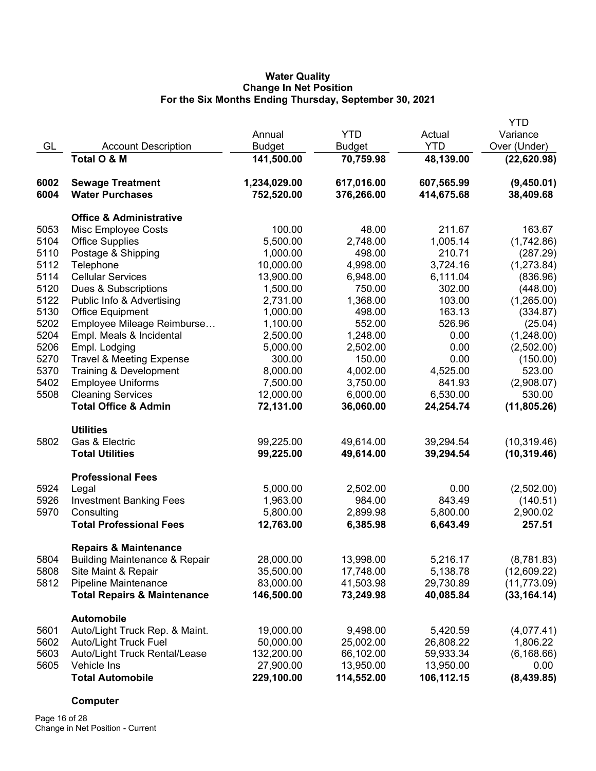# **Water Quality Change In Net Position For the Six Months Ending Thursday, September 30, 2021**

|              |                                              |               |               |                        | <b>YTD</b>   |
|--------------|----------------------------------------------|---------------|---------------|------------------------|--------------|
|              |                                              | Annual        | <b>YTD</b>    | Actual                 | Variance     |
| GL           | <b>Account Description</b>                   | <b>Budget</b> | <b>Budget</b> | <b>YTD</b>             | Over (Under) |
|              | Total O & M                                  | 141,500.00    | 70,759.98     | 48,139.00              | (22,620.98)  |
| 6002         | <b>Sewage Treatment</b>                      | 1,234,029.00  | 617,016.00    | 607,565.99             | (9,450.01)   |
| 6004         | <b>Water Purchases</b>                       | 752,520.00    | 376,266.00    | 414,675.68             | 38,409.68    |
|              | <b>Office &amp; Administrative</b>           |               |               |                        |              |
| 5053         | Misc Employee Costs                          | 100.00        | 48.00         | 211.67                 | 163.67       |
| 5104         | <b>Office Supplies</b>                       | 5,500.00      | 2,748.00      | 1,005.14               | (1,742.86)   |
| 5110         | Postage & Shipping                           | 1,000.00      | 498.00        | 210.71                 | (287.29)     |
| 5112         | Telephone                                    | 10,000.00     | 4,998.00      | 3,724.16               | (1,273.84)   |
| 5114         | <b>Cellular Services</b>                     | 13,900.00     | 6,948.00      | 6,111.04               | (836.96)     |
| 5120         | Dues & Subscriptions                         | 1,500.00      | 750.00        | 302.00                 | (448.00)     |
| 5122         | Public Info & Advertising                    | 2,731.00      | 1,368.00      | 103.00                 | (1,265.00)   |
| 5130         | <b>Office Equipment</b>                      | 1,000.00      | 498.00        | 163.13                 | (334.87)     |
| 5202         | Employee Mileage Reimburse                   | 1,100.00      | 552.00        | 526.96                 | (25.04)      |
| 5204         | Empl. Meals & Incidental                     | 2,500.00      | 1,248.00      | 0.00                   | (1,248.00)   |
| 5206         | Empl. Lodging                                | 5,000.00      | 2,502.00      | 0.00                   | (2,502.00)   |
| 5270         | <b>Travel &amp; Meeting Expense</b>          | 300.00        | 150.00        | 0.00                   | (150.00)     |
| 5370         | Training & Development                       | 8,000.00      | 4,002.00      | 4,525.00               | 523.00       |
| 5402         | <b>Employee Uniforms</b>                     | 7,500.00      | 3,750.00      | 841.93                 | (2,908.07)   |
| 5508         | <b>Cleaning Services</b>                     | 12,000.00     | 6,000.00      | 6,530.00               | 530.00       |
|              | <b>Total Office &amp; Admin</b>              | 72,131.00     | 36,060.00     | 24,254.74              | (11, 805.26) |
|              | <b>Utilities</b>                             |               |               |                        |              |
| 5802         | Gas & Electric                               | 99,225.00     | 49,614.00     | 39,294.54              | (10, 319.46) |
|              | <b>Total Utilities</b>                       | 99,225.00     | 49,614.00     | 39,294.54              | (10, 319.46) |
|              | <b>Professional Fees</b>                     |               |               |                        |              |
| 5924         | Legal                                        | 5,000.00      | 2,502.00      | 0.00                   | (2,502.00)   |
| 5926         | <b>Investment Banking Fees</b>               | 1,963.00      | 984.00        | 843.49                 | (140.51)     |
| 5970         | Consulting                                   | 5,800.00      | 2,899.98      | 5,800.00               | 2,900.02     |
|              | <b>Total Professional Fees</b>               | 12,763.00     | 6,385.98      | 6,643.49               | 257.51       |
|              | <b>Repairs &amp; Maintenance</b>             |               |               |                        |              |
| 5804         | <b>Building Maintenance &amp; Repair</b>     | 28,000.00     | 13,998.00     | 5,216.17               | (8,781.83)   |
| 5808         | Site Maint & Repair                          | 35,500.00     | 17,748.00     | 5,138.78               | (12,609.22)  |
| 5812         | <b>Pipeline Maintenance</b>                  | 83,000.00     | 41,503.98     | 29,730.89              | (11, 773.09) |
|              | <b>Total Repairs &amp; Maintenance</b>       | 146,500.00    | 73,249.98     | 40,085.84              | (33, 164.14) |
|              | <b>Automobile</b>                            |               |               |                        |              |
| 5601         | Auto/Light Truck Rep. & Maint.               | 19,000.00     | 9,498.00      | 5,420.59               | (4,077.41)   |
| 5602         | Auto/Light Truck Fuel                        | 50,000.00     | 25,002.00     | 26,808.22<br>59,933.34 | 1,806.22     |
| 5603<br>5605 | Auto/Light Truck Rental/Lease<br>Vehicle Ins | 132,200.00    | 66,102.00     |                        | (6, 168.66)  |
|              |                                              | 27,900.00     | 13,950.00     | 13,950.00              | 0.00         |
|              | <b>Total Automobile</b>                      | 229,100.00    | 114,552.00    | 106,112.15             | (8,439.85)   |

# **Computer**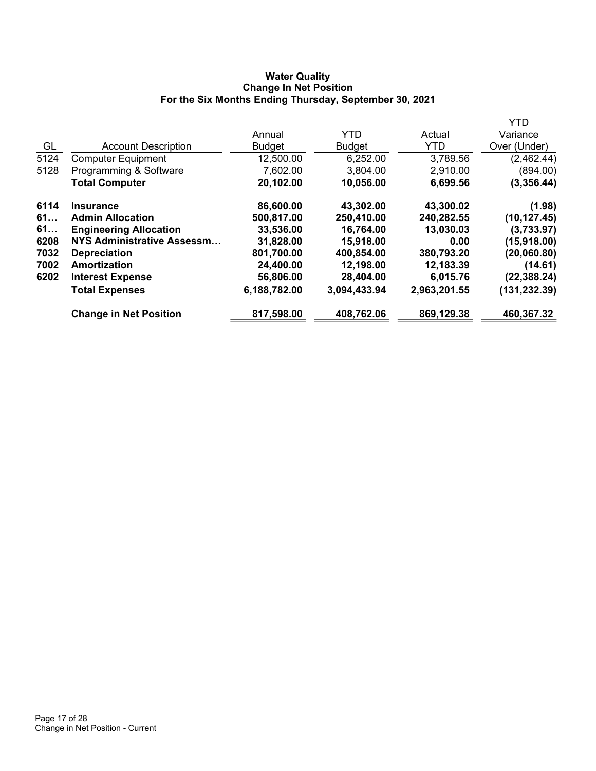# **Water Quality Change In Net Position For the Six Months Ending Thursday, September 30, 2021**

|                               |               |               |              | YTD           |
|-------------------------------|---------------|---------------|--------------|---------------|
|                               | Annual        | <b>YTD</b>    | Actual       | Variance      |
| <b>Account Description</b>    | <b>Budget</b> | <b>Budget</b> | <b>YTD</b>   | Over (Under)  |
| <b>Computer Equipment</b>     | 12,500.00     | 6,252.00      | 3,789.56     | (2,462.44)    |
| Programming & Software        | 7,602.00      | 3,804.00      | 2,910.00     | (894.00)      |
| <b>Total Computer</b>         | 20,102.00     | 10,056.00     | 6,699.56     | (3,356.44)    |
| <b>Insurance</b>              | 86,600.00     | 43,302.00     | 43,300.02    | (1.98)        |
| <b>Admin Allocation</b>       | 500,817.00    | 250,410.00    | 240,282.55   | (10, 127.45)  |
| <b>Engineering Allocation</b> | 33,536.00     | 16,764.00     | 13,030.03    | (3,733.97)    |
| NYS Administrative Assessm    | 31,828.00     | 15,918.00     | 0.00         | (15,918.00)   |
| <b>Depreciation</b>           | 801,700.00    | 400,854.00    | 380,793.20   | (20,060.80)   |
| Amortization                  | 24,400.00     | 12,198.00     | 12,183.39    | (14.61)       |
| <b>Interest Expense</b>       | 56,806.00     | 28,404.00     | 6,015.76     | (22, 388.24)  |
| <b>Total Expenses</b>         | 6,188,782.00  | 3,094,433.94  | 2,963,201.55 | (131, 232.39) |
| <b>Change in Net Position</b> | 817,598.00    | 408,762.06    | 869,129.38   | 460,367.32    |
|                               |               |               |              |               |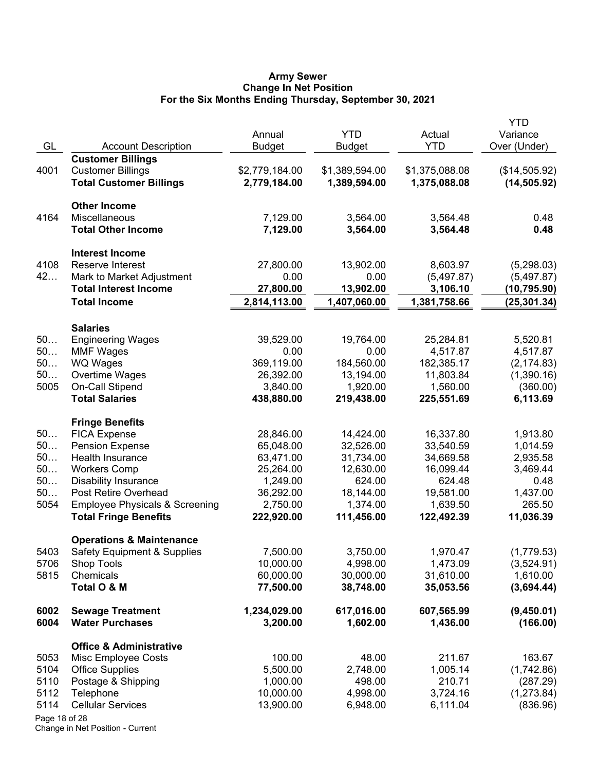#### **Army Sewer Change In Net Position For the Six Months Ending Thursday, September 30, 2021**

| GL            | <b>Account Description</b>                 | Annual<br><b>Budget</b> | <b>YTD</b><br><b>Budget</b> | Actual<br><b>YTD</b>   | <b>YTD</b><br>Variance<br>Over (Under) |
|---------------|--------------------------------------------|-------------------------|-----------------------------|------------------------|----------------------------------------|
|               | <b>Customer Billings</b>                   |                         |                             |                        |                                        |
| 4001          | <b>Customer Billings</b>                   | \$2,779,184.00          | \$1,389,594.00              | \$1,375,088.08         | (\$14,505.92)                          |
|               | <b>Total Customer Billings</b>             | 2,779,184.00            | 1,389,594.00                | 1,375,088.08           | (14, 505.92)                           |
|               | <b>Other Income</b>                        |                         |                             |                        |                                        |
| 4164          | Miscellaneous                              | 7,129.00                | 3,564.00                    | 3,564.48               | 0.48                                   |
|               | <b>Total Other Income</b>                  | 7,129.00                | 3,564.00                    | 3,564.48               | 0.48                                   |
|               | <b>Interest Income</b>                     |                         |                             |                        |                                        |
| 4108          | Reserve Interest                           | 27,800.00               | 13,902.00                   | 8,603.97               | (5,298.03)                             |
| 42            | Mark to Market Adjustment                  | 0.00                    | 0.00                        | (5,497.87)             | (5,497.87)                             |
|               | <b>Total Interest Income</b>               | 27,800.00               | 13,902.00                   | 3,106.10               | (10, 795.90)                           |
|               | <b>Total Income</b>                        | 2,814,113.00            | 1,407,060.00                | 1,381,758.66           | (25, 301.34)                           |
|               | <b>Salaries</b>                            |                         |                             |                        |                                        |
| 50            | <b>Engineering Wages</b>                   | 39,529.00               | 19,764.00                   | 25,284.81              | 5,520.81                               |
| 50            | <b>MMF Wages</b>                           | 0.00                    | 0.00                        | 4,517.87               | 4,517.87                               |
| 50            | <b>WQ Wages</b>                            | 369,119.00              | 184,560.00                  | 182,385.17             | (2, 174.83)                            |
| 50            | Overtime Wages                             | 26,392.00               | 13,194.00                   | 11,803.84              | (1,390.16)                             |
| 5005          | On-Call Stipend                            | 3,840.00                | 1,920.00                    | 1,560.00               | (360.00)                               |
|               | <b>Total Salaries</b>                      | 438,880.00              | 219,438.00                  | 225,551.69             | 6,113.69                               |
|               | <b>Fringe Benefits</b>                     |                         |                             |                        |                                        |
| 50<br>50      | <b>FICA Expense</b>                        | 28,846.00               | 14,424.00                   | 16,337.80              | 1,913.80                               |
| 50            | <b>Pension Expense</b><br>Health Insurance | 65,048.00               | 32,526.00                   | 33,540.59              | 1,014.59                               |
| 50            | <b>Workers Comp</b>                        | 63,471.00<br>25,264.00  | 31,734.00<br>12,630.00      | 34,669.58<br>16,099.44 | 2,935.58<br>3,469.44                   |
| 50            | <b>Disability Insurance</b>                | 1,249.00                | 624.00                      | 624.48                 | 0.48                                   |
| 50            | Post Retire Overhead                       | 36,292.00               | 18,144.00                   | 19,581.00              | 1,437.00                               |
| 5054          | <b>Employee Physicals &amp; Screening</b>  | 2,750.00                | 1,374.00                    | 1,639.50               | 265.50                                 |
|               | <b>Total Fringe Benefits</b>               | 222,920.00              | 111,456.00                  | 122,492.39             | 11,036.39                              |
|               | <b>Operations &amp; Maintenance</b>        |                         |                             |                        |                                        |
| 5403          | <b>Safety Equipment &amp; Supplies</b>     | 7,500.00                | 3,750.00                    | 1,970.47               | (1,779.53)                             |
| 5706          | Shop Tools                                 | 10,000.00               | 4,998.00                    | 1,473.09               | (3,524.91)                             |
| 5815          | Chemicals                                  | 60,000.00               | 30,000.00                   | 31,610.00              | 1,610.00                               |
|               | Total O & M                                | 77,500.00               | 38,748.00                   | 35,053.56              | (3,694.44)                             |
| 6002          | <b>Sewage Treatment</b>                    | 1,234,029.00            | 617,016.00                  | 607,565.99             | (9,450.01)                             |
| 6004          | <b>Water Purchases</b>                     | 3,200.00                | 1,602.00                    | 1,436.00               | (166.00)                               |
|               | <b>Office &amp; Administrative</b>         |                         |                             |                        |                                        |
| 5053          | Misc Employee Costs                        | 100.00                  | 48.00                       | 211.67                 | 163.67                                 |
| 5104          | <b>Office Supplies</b>                     | 5,500.00                | 2,748.00                    | 1,005.14               | (1,742.86)                             |
| 5110          | Postage & Shipping                         | 1,000.00                | 498.00                      | 210.71                 | (287.29)                               |
| 5112          | Telephone                                  | 10,000.00               | 4,998.00                    | 3,724.16               | (1, 273.84)                            |
| 5114          | <b>Cellular Services</b>                   | 13,900.00               | 6,948.00                    | 6,111.04               | (836.96)                               |
| Page 18 of 28 |                                            |                         |                             |                        |                                        |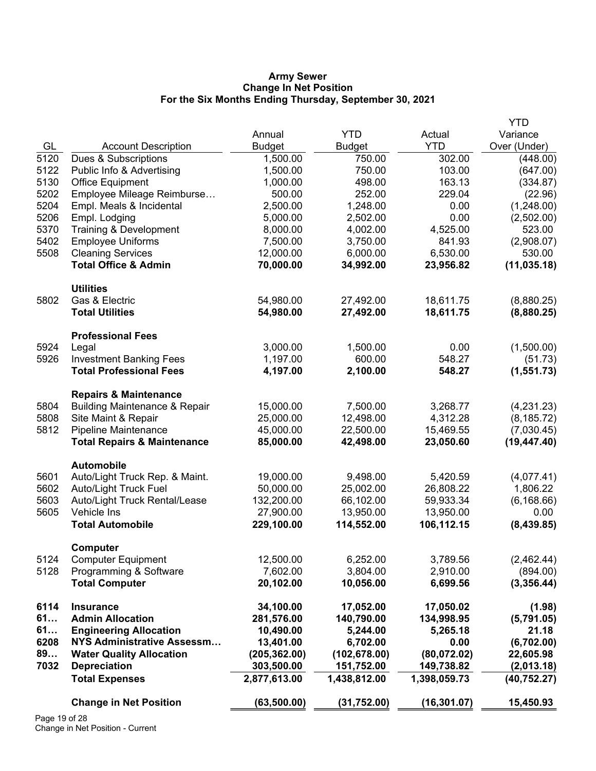#### **Army Sewer Change In Net Position For the Six Months Ending Thursday, September 30, 2021**

|              |                                                 |                       |                       |                      | <b>YTD</b>             |
|--------------|-------------------------------------------------|-----------------------|-----------------------|----------------------|------------------------|
|              |                                                 | Annual                | <b>YTD</b>            | Actual               | Variance               |
| GL           | <b>Account Description</b>                      | <b>Budget</b>         | <b>Budget</b>         | <b>YTD</b>           | Over (Under)           |
| 5120         | Dues & Subscriptions                            | 1,500.00              | 750.00                | 302.00               | (448.00)               |
| 5122         | Public Info & Advertising                       | 1,500.00              | 750.00                | 103.00               | (647.00)               |
| 5130         | <b>Office Equipment</b>                         | 1,000.00              | 498.00                | 163.13               | (334.87)               |
| 5202         | Employee Mileage Reimburse                      | 500.00                | 252.00                | 229.04               | (22.96)                |
| 5204         | Empl. Meals & Incidental                        | 2,500.00              | 1,248.00              | 0.00                 | (1,248.00)             |
| 5206         | Empl. Lodging                                   | 5,000.00              | 2,502.00              | 0.00                 | (2,502.00)             |
| 5370         | Training & Development                          | 8,000.00              | 4,002.00              | 4,525.00             | 523.00                 |
| 5402         | <b>Employee Uniforms</b>                        | 7,500.00              | 3,750.00              | 841.93               | (2,908.07)             |
| 5508         | <b>Cleaning Services</b>                        | 12,000.00             | 6,000.00              | 6,530.00             | 530.00                 |
|              | <b>Total Office &amp; Admin</b>                 | 70,000.00             | 34,992.00             | 23,956.82            | (11, 035.18)           |
|              | <b>Utilities</b>                                |                       |                       |                      |                        |
| 5802         | Gas & Electric                                  | 54,980.00             | 27,492.00             | 18,611.75            | (8,880.25)             |
|              | <b>Total Utilities</b>                          | 54,980.00             | 27,492.00             | 18,611.75            | (8,880.25)             |
|              | <b>Professional Fees</b>                        |                       |                       |                      |                        |
| 5924         | Legal                                           | 3,000.00              | 1,500.00              | 0.00                 | (1,500.00)             |
| 5926         | <b>Investment Banking Fees</b>                  | 1,197.00              | 600.00                | 548.27               | (51.73)                |
|              | <b>Total Professional Fees</b>                  | 4,197.00              | 2,100.00              | 548.27               | (1, 551.73)            |
|              | <b>Repairs &amp; Maintenance</b>                |                       |                       |                      |                        |
| 5804         | <b>Building Maintenance &amp; Repair</b>        | 15,000.00             | 7,500.00              | 3,268.77             | (4,231.23)             |
| 5808         | Site Maint & Repair                             | 25,000.00             | 12,498.00             | 4,312.28             | (8, 185.72)            |
| 5812         | Pipeline Maintenance                            | 45,000.00             | 22,500.00             | 15,469.55            | (7,030.45)             |
|              | <b>Total Repairs &amp; Maintenance</b>          | 85,000.00             | 42,498.00             | 23,050.60            | (19, 447.40)           |
|              | <b>Automobile</b>                               |                       |                       |                      |                        |
| 5601         | Auto/Light Truck Rep. & Maint.                  | 19,000.00             | 9,498.00              | 5,420.59             | (4,077.41)             |
| 5602         | <b>Auto/Light Truck Fuel</b>                    | 50,000.00             | 25,002.00             | 26,808.22            | 1,806.22               |
| 5603         | Auto/Light Truck Rental/Lease                   | 132,200.00            | 66,102.00             | 59,933.34            | (6, 168.66)            |
| 5605         | Vehicle Ins                                     | 27,900.00             | 13,950.00             | 13,950.00            | 0.00                   |
|              | <b>Total Automobile</b>                         | 229,100.00            | 114,552.00            | 106,112.15           | (8,439.85)             |
|              | Computer<br><b>Computer Equipment</b>           |                       |                       |                      | (2,462.44)             |
| 5124<br>5128 |                                                 | 12,500.00<br>7,602.00 | 6,252.00              | 3,789.56             |                        |
|              | Programming & Software<br><b>Total Computer</b> | 20,102.00             | 3,804.00<br>10,056.00 | 2,910.00<br>6,699.56 | (894.00)<br>(3,356.44) |
| 6114         | <b>Insurance</b>                                | 34,100.00             | 17,052.00             | 17,050.02            | (1.98)                 |
| 61           | <b>Admin Allocation</b>                         | 281,576.00            | 140,790.00            | 134,998.95           | (5,791.05)             |
| 61           | <b>Engineering Allocation</b>                   | 10,490.00             | 5,244.00              | 5,265.18             | 21.18                  |
| 6208         | <b>NYS Administrative Assessm</b>               | 13,401.00             | 6,702.00              | 0.00                 | (6,702.00)             |
| 89           | <b>Water Quality Allocation</b>                 | (205, 362.00)         | (102, 678.00)         | (80,072.02)          | 22,605.98              |
| 7032         | <b>Depreciation</b>                             | 303,500.00            | 151,752.00            | 149,738.82           | (2,013.18)             |
|              | <b>Total Expenses</b>                           | 2,877,613.00          | 1,438,812.00          | 1,398,059.73         | (40, 752.27)           |
|              | <b>Change in Net Position</b>                   | (63, 500.00)          | (31,752.00)           | (16, 301.07)         | 15,450.93              |
|              |                                                 |                       |                       |                      |                        |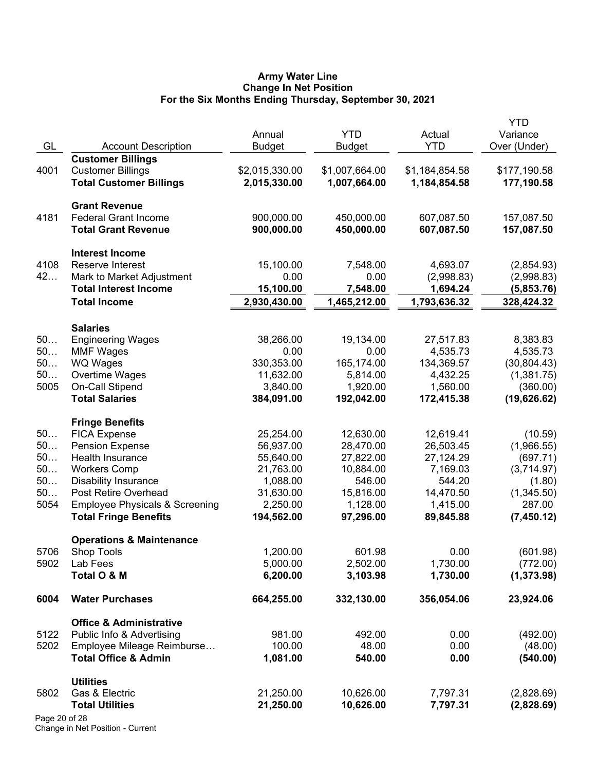#### **Army Water Line Change In Net Position For the Six Months Ending Thursday, September 30, 2021**

| GL            | <b>Account Description</b>                                      | Annual<br><b>Budget</b> | <b>YTD</b><br>Budget | Actual<br><b>YTD</b> | YTD<br>Variance<br>Over (Under) |
|---------------|-----------------------------------------------------------------|-------------------------|----------------------|----------------------|---------------------------------|
|               | <b>Customer Billings</b>                                        |                         |                      |                      |                                 |
| 4001          | <b>Customer Billings</b>                                        | \$2,015,330.00          | \$1,007,664.00       | \$1,184,854.58       | \$177,190.58                    |
|               | <b>Total Customer Billings</b>                                  | 2,015,330.00            | 1,007,664.00         | 1,184,854.58         | 177,190.58                      |
|               | <b>Grant Revenue</b>                                            |                         |                      |                      |                                 |
| 4181          | <b>Federal Grant Income</b>                                     | 900,000.00              | 450,000.00           | 607,087.50           | 157,087.50                      |
|               | <b>Total Grant Revenue</b>                                      | 900,000.00              | 450,000.00           | 607,087.50           | 157,087.50                      |
|               | <b>Interest Income</b>                                          |                         |                      |                      |                                 |
| 4108          | Reserve Interest                                                | 15,100.00               | 7,548.00             | 4,693.07             | (2,854.93)                      |
| 42            | Mark to Market Adjustment                                       | 0.00                    | 0.00                 | (2,998.83)           | (2,998.83)                      |
|               | <b>Total Interest Income</b>                                    | 15,100.00               | 7,548.00             | 1,694.24             | (5,853.76)                      |
|               | <b>Total Income</b>                                             | 2,930,430.00            | 1,465,212.00         | 1,793,636.32         | 328,424.32                      |
|               | <b>Salaries</b>                                                 |                         |                      |                      |                                 |
| 50            | <b>Engineering Wages</b>                                        | 38,266.00               | 19,134.00            | 27,517.83            | 8,383.83                        |
| 50            | <b>MMF Wages</b>                                                | 0.00                    | 0.00                 | 4,535.73             | 4,535.73                        |
| 50            | WQ Wages                                                        | 330,353.00              | 165,174.00           | 134,369.57           | (30, 804.43)                    |
| 50            | Overtime Wages                                                  | 11,632.00               | 5,814.00             | 4,432.25             | (1,381.75)                      |
| 5005          | On-Call Stipend                                                 | 3,840.00                | 1,920.00             | 1,560.00             | (360.00)                        |
|               | <b>Total Salaries</b>                                           | 384,091.00              | 192,042.00           | 172,415.38           | (19,626.62)                     |
|               | <b>Fringe Benefits</b>                                          |                         |                      |                      |                                 |
| 50            | <b>FICA Expense</b>                                             | 25,254.00               | 12,630.00            | 12,619.41            | (10.59)                         |
| 50            | <b>Pension Expense</b>                                          | 56,937.00               | 28,470.00            | 26,503.45            | (1,966.55)                      |
| 50            | Health Insurance                                                | 55,640.00               | 27,822.00            | 27,124.29            | (697.71)                        |
| 50            | <b>Workers Comp</b>                                             | 21,763.00               | 10,884.00            | 7,169.03             | (3,714.97)                      |
| 50            | <b>Disability Insurance</b>                                     | 1,088.00                | 546.00               | 544.20               | (1.80)                          |
| 50            | Post Retire Overhead                                            | 31,630.00               | 15,816.00            | 14,470.50            | (1,345.50)                      |
| 5054          | <b>Employee Physicals &amp; Screening</b>                       | 2,250.00                | 1,128.00             | 1,415.00             | 287.00                          |
|               | <b>Total Fringe Benefits</b>                                    | 194,562.00              | 97,296.00            | 89,845.88            | (7,450.12)                      |
|               | <b>Operations &amp; Maintenance</b>                             |                         |                      |                      |                                 |
| 5706          | <b>Shop Tools</b>                                               | 1,200.00                | 601.98               | 0.00                 | (601.98)                        |
| 5902          | Lab Fees<br>Total O & M                                         | 5,000.00<br>6,200.00    | 2,502.00<br>3,103.98 | 1,730.00<br>1,730.00 | (772.00)<br>(1,373.98)          |
| 6004          | <b>Water Purchases</b>                                          | 664,255.00              | 332,130.00           | 356,054.06           | 23,924.06                       |
|               |                                                                 |                         |                      |                      |                                 |
| 5122          | <b>Office &amp; Administrative</b><br>Public Info & Advertising | 981.00                  | 492.00               | 0.00                 | (492.00)                        |
| 5202          | Employee Mileage Reimburse                                      | 100.00                  | 48.00                | 0.00                 | (48.00)                         |
|               | <b>Total Office &amp; Admin</b>                                 | 1,081.00                | 540.00               | 0.00                 | (540.00)                        |
|               | <b>Utilities</b>                                                |                         |                      |                      |                                 |
| 5802          | Gas & Electric                                                  | 21,250.00               | 10,626.00            | 7,797.31             | (2,828.69)                      |
|               | <b>Total Utilities</b>                                          | 21,250.00               | 10,626.00            | 7,797.31             | (2,828.69)                      |
| Page 20 of 28 |                                                                 |                         |                      |                      |                                 |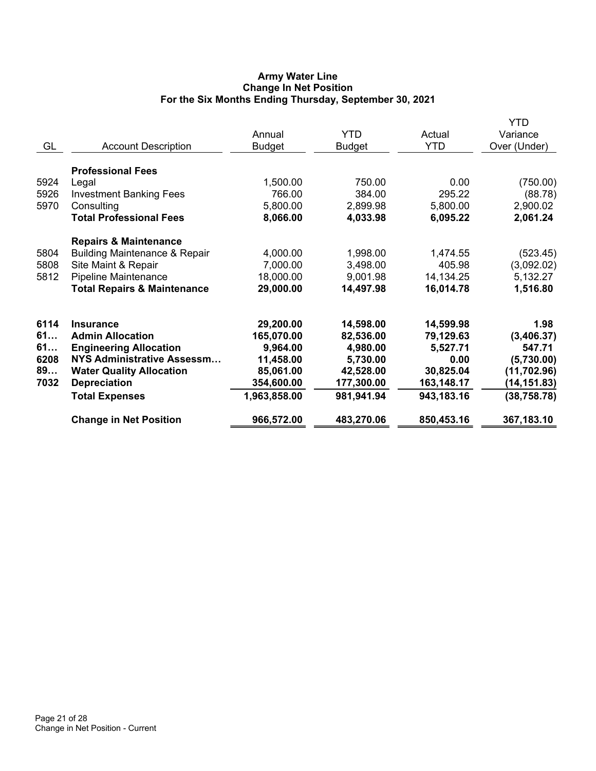# **Army Water Line Change In Net Position For the Six Months Ending Thursday, September 30, 2021**

| GL                                     | <b>Account Description</b>                                                                                                                                                                           | Annual<br><b>Budget</b>                                                                     | <b>YTD</b><br><b>Budget</b>                                                             | Actual<br><b>YTD</b>                                                                | <b>YTD</b><br>Variance<br>Over (Under)                                                     |
|----------------------------------------|------------------------------------------------------------------------------------------------------------------------------------------------------------------------------------------------------|---------------------------------------------------------------------------------------------|-----------------------------------------------------------------------------------------|-------------------------------------------------------------------------------------|--------------------------------------------------------------------------------------------|
| 5924<br>5926<br>5970                   | <b>Professional Fees</b><br>Legal<br><b>Investment Banking Fees</b><br>Consulting<br><b>Total Professional Fees</b>                                                                                  | 1,500.00<br>766.00<br>5,800.00<br>8,066.00                                                  | 750.00<br>384.00<br>2,899.98<br>4,033.98                                                | 0.00<br>295.22<br>5,800.00<br>6,095.22                                              | (750.00)<br>(88.78)<br>2,900.02<br>2,061.24                                                |
| 5804<br>5808<br>5812                   | <b>Repairs &amp; Maintenance</b><br><b>Building Maintenance &amp; Repair</b><br>Site Maint & Repair<br><b>Pipeline Maintenance</b><br><b>Total Repairs &amp; Maintenance</b>                         | 4,000.00<br>7,000.00<br>18,000.00<br>29,000.00                                              | 1,998.00<br>3,498.00<br>9,001.98<br>14,497.98                                           | 1,474.55<br>405.98<br>14,134.25<br>16,014.78                                        | (523.45)<br>(3,092.02)<br>5,132.27<br>1,516.80                                             |
| 6114<br>61<br>61<br>6208<br>89<br>7032 | <b>Insurance</b><br><b>Admin Allocation</b><br><b>Engineering Allocation</b><br><b>NYS Administrative Assessm</b><br><b>Water Quality Allocation</b><br><b>Depreciation</b><br><b>Total Expenses</b> | 29,200.00<br>165,070.00<br>9,964.00<br>11,458.00<br>85,061.00<br>354,600.00<br>1,963,858.00 | 14,598.00<br>82,536.00<br>4,980.00<br>5,730.00<br>42,528.00<br>177,300.00<br>981,941.94 | 14,599.98<br>79,129.63<br>5,527.71<br>0.00<br>30,825.04<br>163,148.17<br>943,183.16 | 1.98<br>(3,406.37)<br>547.71<br>(5,730.00)<br>(11, 702.96)<br>(14, 151.83)<br>(38, 758.78) |
|                                        | <b>Change in Net Position</b>                                                                                                                                                                        | 966,572.00                                                                                  | 483,270.06                                                                              | 850,453.16                                                                          | 367,183.10                                                                                 |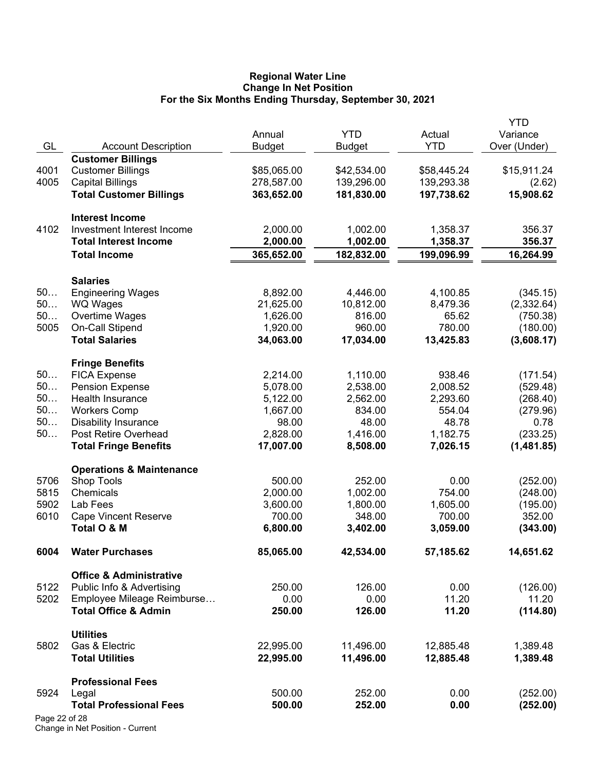#### **Regional Water Line Change In Net Position For the Six Months Ending Thursday, September 30, 2021**

|               |                                                     |               |               |             | YTD                    |
|---------------|-----------------------------------------------------|---------------|---------------|-------------|------------------------|
|               |                                                     | Annual        | <b>YTD</b>    | Actual      | Variance               |
| GL            | <b>Account Description</b>                          | <b>Budget</b> | <b>Budget</b> | <b>YTD</b>  | Over (Under)           |
|               | <b>Customer Billings</b>                            |               |               |             | \$15,911.24            |
| 4001          | <b>Customer Billings</b><br><b>Capital Billings</b> | \$85,065.00   | \$42,534.00   | \$58,445.24 |                        |
| 4005          |                                                     | 278,587.00    | 139,296.00    | 139,293.38  | (2.62)<br>15,908.62    |
|               | <b>Total Customer Billings</b>                      | 363,652.00    | 181,830.00    | 197,738.62  |                        |
|               | <b>Interest Income</b>                              |               |               |             |                        |
| 4102          | Investment Interest Income                          | 2,000.00      | 1,002.00      | 1,358.37    | 356.37                 |
|               | <b>Total Interest Income</b>                        | 2,000.00      | 1,002.00      | 1,358.37    | 356.37                 |
|               | <b>Total Income</b>                                 | 365,652.00    | 182,832.00    | 199,096.99  | 16,264.99              |
|               |                                                     |               |               |             |                        |
| 50            | <b>Salaries</b>                                     | 8,892.00      | 4,446.00      | 4,100.85    |                        |
| 50            | <b>Engineering Wages</b>                            | 21,625.00     | 10,812.00     | 8,479.36    | (345.15)<br>(2,332.64) |
| 50            | WQ Wages<br>Overtime Wages                          | 1,626.00      | 816.00        | 65.62       | (750.38)               |
| 5005          | On-Call Stipend                                     | 1,920.00      | 960.00        | 780.00      | (180.00)               |
|               | <b>Total Salaries</b>                               | 34,063.00     | 17,034.00     | 13,425.83   | (3,608.17)             |
|               |                                                     |               |               |             |                        |
|               | <b>Fringe Benefits</b>                              |               |               |             |                        |
| 50            | <b>FICA Expense</b>                                 | 2,214.00      | 1,110.00      | 938.46      | (171.54)               |
| 50            | <b>Pension Expense</b>                              | 5,078.00      | 2,538.00      | 2,008.52    | (529.48)               |
| 50            | Health Insurance                                    | 5,122.00      | 2,562.00      | 2,293.60    | (268.40)               |
| 50            | <b>Workers Comp</b>                                 | 1,667.00      | 834.00        | 554.04      | (279.96)               |
| 50            | <b>Disability Insurance</b>                         | 98.00         | 48.00         | 48.78       | 0.78                   |
| 50            | Post Retire Overhead                                | 2,828.00      | 1,416.00      | 1,182.75    | (233.25)               |
|               | <b>Total Fringe Benefits</b>                        | 17,007.00     | 8,508.00      | 7,026.15    | (1,481.85)             |
|               | <b>Operations &amp; Maintenance</b>                 |               |               |             |                        |
| 5706          | <b>Shop Tools</b>                                   | 500.00        | 252.00        | 0.00        | (252.00)               |
| 5815          | Chemicals                                           | 2,000.00      | 1,002.00      | 754.00      | (248.00)               |
| 5902          | Lab Fees                                            | 3,600.00      | 1,800.00      | 1,605.00    | (195.00)               |
| 6010          | <b>Cape Vincent Reserve</b>                         | 700.00        | 348.00        | 700.00      | 352.00                 |
|               | Total O & M                                         | 6,800.00      | 3,402.00      | 3,059.00    | (343.00)               |
| 6004          | <b>Water Purchases</b>                              | 85,065.00     | 42,534.00     | 57,185.62   | 14,651.62              |
|               | <b>Office &amp; Administrative</b>                  |               |               |             |                        |
| 5122          | Public Info & Advertising                           | 250.00        | 126.00        | 0.00        | (126.00)               |
| 5202          | Employee Mileage Reimburse                          | 0.00          | 0.00          | 11.20       | 11.20                  |
|               | <b>Total Office &amp; Admin</b>                     | 250.00        | 126.00        | 11.20       | (114.80)               |
|               |                                                     |               |               |             |                        |
|               | <b>Utilities</b>                                    |               |               |             |                        |
| 5802          | Gas & Electric                                      | 22,995.00     | 11,496.00     | 12,885.48   | 1,389.48               |
|               | <b>Total Utilities</b>                              | 22,995.00     | 11,496.00     | 12,885.48   | 1,389.48               |
|               | <b>Professional Fees</b>                            |               |               |             |                        |
| 5924          | Legal                                               | 500.00        | 252.00        | 0.00        | (252.00)               |
|               | <b>Total Professional Fees</b>                      | 500.00        | 252.00        | 0.00        | (252.00)               |
| Page 22 of 28 |                                                     |               |               |             |                        |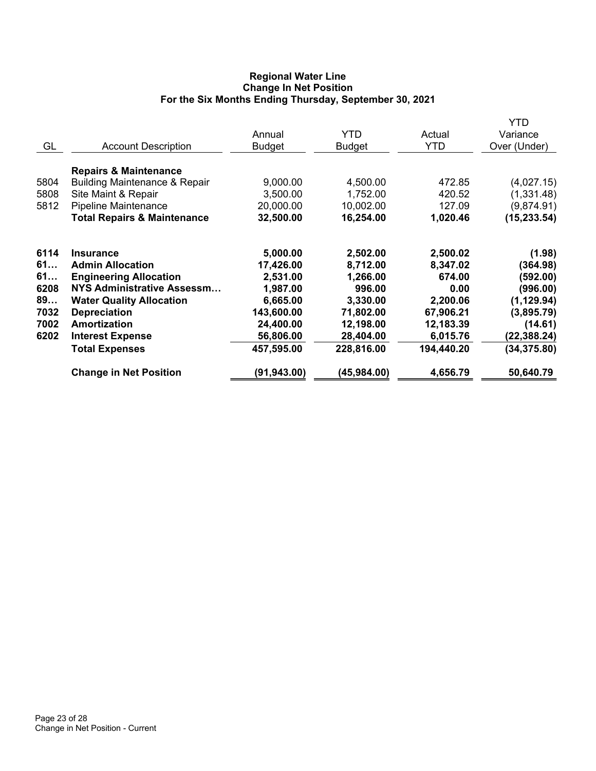# **Regional Water Line Change In Net Position For the Six Months Ending Thursday, September 30, 2021**

|      |                                          | Annual        | <b>YTD</b>    | Actual     | YTD<br>Variance |
|------|------------------------------------------|---------------|---------------|------------|-----------------|
| GL   | <b>Account Description</b>               | <b>Budget</b> | <b>Budget</b> | <b>YTD</b> | Over (Under)    |
|      | <b>Repairs &amp; Maintenance</b>         |               |               |            |                 |
| 5804 | <b>Building Maintenance &amp; Repair</b> | 9,000.00      | 4,500.00      | 472.85     | (4,027.15)      |
| 5808 | Site Maint & Repair                      | 3,500.00      | 1,752.00      | 420.52     | (1,331.48)      |
| 5812 | <b>Pipeline Maintenance</b>              | 20,000.00     | 10,002.00     | 127.09     | (9,874.91)      |
|      | <b>Total Repairs &amp; Maintenance</b>   | 32,500.00     | 16,254.00     | 1,020.46   | (15, 233.54)    |
| 6114 | <b>Insurance</b>                         | 5,000.00      | 2,502.00      | 2,500.02   | (1.98)          |
| 61   | <b>Admin Allocation</b>                  | 17,426.00     | 8,712.00      | 8,347.02   | (364.98)        |
| 61   | <b>Engineering Allocation</b>            | 2,531.00      | 1,266.00      | 674.00     | (592.00)        |
| 6208 | NYS Administrative Assessm               | 1,987.00      | 996.00        | 0.00       | (996.00)        |
| 89   | <b>Water Quality Allocation</b>          | 6,665.00      | 3,330.00      | 2,200.06   | (1, 129.94)     |
| 7032 | <b>Depreciation</b>                      | 143,600.00    | 71,802.00     | 67,906.21  | (3,895.79)      |
| 7002 | Amortization                             | 24,400.00     | 12,198.00     | 12,183.39  | (14.61)         |
| 6202 | <b>Interest Expense</b>                  | 56,806.00     | 28,404.00     | 6,015.76   | (22, 388.24)    |
|      | <b>Total Expenses</b>                    | 457,595.00    | 228,816.00    | 194,440.20 | (34, 375.80)    |
|      | <b>Change in Net Position</b>            | (91, 943.00)  | (45, 984.00)  | 4,656.79   | 50,640.79       |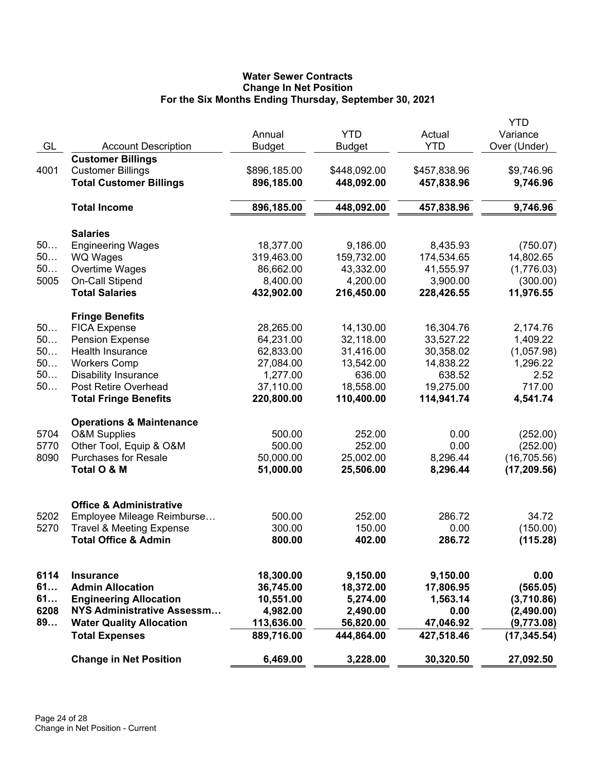# **Water Sewer Contracts Change In Net Position For the Six Months Ending Thursday, September 30, 2021**

| GL   | <b>Account Description</b>                                 | Annual<br><b>Budget</b>    | <b>YTD</b><br><b>Budget</b> | Actual<br><b>YTD</b>       | <b>YTD</b><br>Variance<br>Over (Under) |
|------|------------------------------------------------------------|----------------------------|-----------------------------|----------------------------|----------------------------------------|
|      | <b>Customer Billings</b>                                   |                            |                             |                            |                                        |
| 4001 | <b>Customer Billings</b><br><b>Total Customer Billings</b> | \$896,185.00<br>896,185.00 | \$448,092.00<br>448,092.00  | \$457,838.96<br>457,838.96 | \$9,746.96<br>9,746.96                 |
|      | <b>Total Income</b>                                        | 896,185.00                 | 448,092.00                  | 457,838.96                 | 9,746.96                               |
|      | <b>Salaries</b>                                            |                            |                             |                            |                                        |
| 50   | <b>Engineering Wages</b>                                   | 18,377.00                  | 9,186.00                    | 8,435.93                   | (750.07)                               |
| 50   | <b>WQ Wages</b>                                            | 319,463.00                 | 159,732.00                  | 174,534.65                 | 14,802.65                              |
| 50   | Overtime Wages                                             | 86,662.00                  | 43,332.00                   | 41,555.97                  | (1,776.03)                             |
| 5005 | On-Call Stipend                                            | 8,400.00                   | 4,200.00                    | 3,900.00                   | (300.00)                               |
|      | <b>Total Salaries</b>                                      | 432,902.00                 | 216,450.00                  | 228,426.55                 | 11,976.55                              |
|      | <b>Fringe Benefits</b>                                     |                            |                             |                            |                                        |
| 50   | <b>FICA Expense</b>                                        | 28,265.00                  | 14,130.00                   | 16,304.76                  | 2,174.76                               |
| 50   | <b>Pension Expense</b>                                     | 64,231.00                  | 32,118.00                   | 33,527.22                  | 1,409.22                               |
| 50   | <b>Health Insurance</b>                                    | 62,833.00                  | 31,416.00                   | 30,358.02                  | (1,057.98)                             |
| 50   | <b>Workers Comp</b>                                        | 27,084.00                  | 13,542.00                   | 14,838.22                  | 1,296.22                               |
| 50   | <b>Disability Insurance</b>                                | 1,277.00                   | 636.00                      | 638.52                     | 2.52                                   |
| 50   | Post Retire Overhead                                       | 37,110.00                  | 18,558.00                   | 19,275.00                  | 717.00                                 |
|      | <b>Total Fringe Benefits</b>                               | 220,800.00                 | 110,400.00                  | 114,941.74                 | 4,541.74                               |
|      | <b>Operations &amp; Maintenance</b>                        |                            |                             |                            |                                        |
| 5704 | <b>O&amp;M Supplies</b>                                    | 500.00                     | 252.00                      | 0.00                       | (252.00)                               |
| 5770 | Other Tool, Equip & O&M                                    | 500.00                     | 252.00                      | 0.00                       | (252.00)                               |
| 8090 | <b>Purchases for Resale</b>                                | 50,000.00                  | 25,002.00                   | 8,296.44                   | (16, 705.56)                           |
|      | Total O & M                                                | 51,000.00                  | 25,506.00                   | 8,296.44                   | (17, 209.56)                           |
|      |                                                            |                            |                             |                            |                                        |
|      | <b>Office &amp; Administrative</b>                         |                            |                             |                            |                                        |
| 5202 | Employee Mileage Reimburse                                 | 500.00                     | 252.00                      | 286.72                     | 34.72                                  |
| 5270 | <b>Travel &amp; Meeting Expense</b>                        | 300.00                     | 150.00                      | 0.00                       | (150.00)                               |
|      | <b>Total Office &amp; Admin</b>                            | 800.00                     | 402.00                      | 286.72                     | (115.28)                               |
| 6114 | <b>Insurance</b>                                           | 18,300.00                  | 9,150.00                    | 9,150.00                   | 0.00                                   |
| 61   | <b>Admin Allocation</b>                                    | 36,745.00                  | 18,372.00                   | 17,806.95                  | (565.05)                               |
| 61   | <b>Engineering Allocation</b>                              | 10,551.00                  | 5,274.00                    | 1,563.14                   | (3,710.86)                             |
| 6208 | NYS Administrative Assessm                                 | 4,982.00                   | 2,490.00                    | 0.00                       | (2,490.00)                             |
| 89   | <b>Water Quality Allocation</b>                            | 113,636.00                 | 56,820.00                   | 47,046.92                  | (9,773.08)                             |
|      | <b>Total Expenses</b>                                      | 889,716.00                 | 444,864.00                  | 427,518.46                 | (17, 345.54)                           |
|      | <b>Change in Net Position</b>                              | 6,469.00                   | 3,228.00                    | 30,320.50                  | 27,092.50                              |
|      |                                                            |                            |                             |                            |                                        |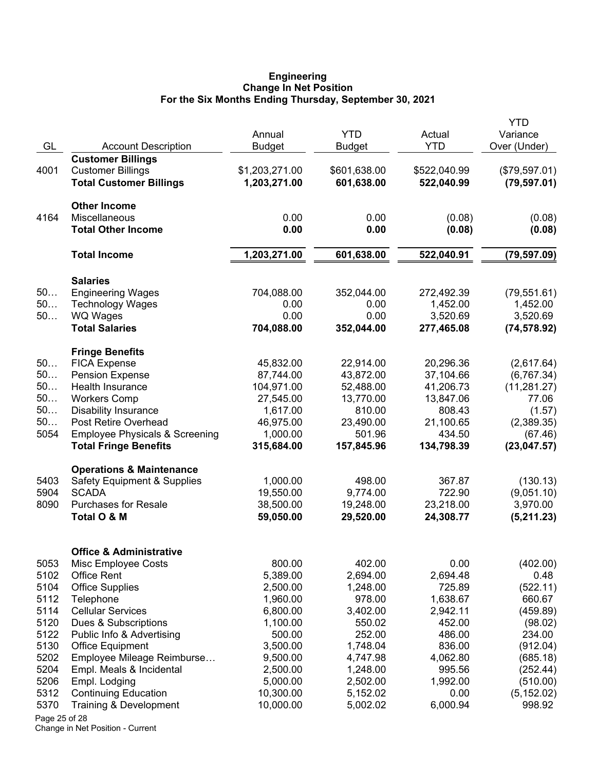#### **Engineering Change In Net Position For the Six Months Ending Thursday, September 30, 2021**

|               |                                                     | Annual                | <b>YTD</b>          | Actual              | YTD<br>Variance       |
|---------------|-----------------------------------------------------|-----------------------|---------------------|---------------------|-----------------------|
| GL            | <b>Account Description</b>                          | <b>Budget</b>         | Budget              | <b>YTD</b>          | Over (Under)          |
| 4001          | <b>Customer Billings</b>                            |                       |                     |                     |                       |
|               | <b>Customer Billings</b>                            | \$1,203,271.00        | \$601,638.00        | \$522,040.99        | (\$79,597.01)         |
|               | <b>Total Customer Billings</b>                      | 1,203,271.00          | 601,638.00          | 522,040.99          | (79, 597.01)          |
|               | <b>Other Income</b>                                 |                       |                     |                     |                       |
| 4164          | Miscellaneous                                       | 0.00                  | 0.00                | (0.08)              | (0.08)                |
|               | <b>Total Other Income</b>                           | 0.00                  | 0.00                | (0.08)              | (0.08)                |
|               | <b>Total Income</b>                                 | 1,203,271.00          | 601,638.00          | 522,040.91          | (79, 597.09)          |
|               | <b>Salaries</b>                                     |                       |                     |                     |                       |
| 50            | <b>Engineering Wages</b>                            | 704,088.00            | 352,044.00          | 272,492.39          | (79, 551.61)          |
| 50            | <b>Technology Wages</b>                             | 0.00                  | 0.00                | 1,452.00            | 1,452.00              |
| 50            | <b>WQ Wages</b>                                     | 0.00                  | 0.00                | 3,520.69            | 3,520.69              |
|               | <b>Total Salaries</b>                               | 704,088.00            | 352,044.00          | 277,465.08          | (74, 578.92)          |
|               | <b>Fringe Benefits</b>                              |                       |                     |                     |                       |
| 50            | <b>FICA Expense</b>                                 | 45,832.00             | 22,914.00           | 20,296.36           | (2,617.64)            |
| 50            | <b>Pension Expense</b>                              | 87,744.00             | 43,872.00           | 37,104.66           | (6, 767.34)           |
| 50            | Health Insurance                                    | 104,971.00            | 52,488.00           | 41,206.73           | (11, 281.27)          |
| 50<br>50      | <b>Workers Comp</b>                                 | 27,545.00             | 13,770.00           | 13,847.06           | 77.06                 |
| 50            | <b>Disability Insurance</b><br>Post Retire Overhead | 1,617.00<br>46,975.00 | 810.00<br>23,490.00 | 808.43<br>21,100.65 | (1.57)                |
| 5054          | <b>Employee Physicals &amp; Screening</b>           | 1,000.00              | 501.96              | 434.50              | (2,389.35)<br>(67.46) |
|               | <b>Total Fringe Benefits</b>                        | 315,684.00            | 157,845.96          | 134,798.39          | (23, 047.57)          |
|               | <b>Operations &amp; Maintenance</b>                 |                       |                     |                     |                       |
| 5403          | <b>Safety Equipment &amp; Supplies</b>              | 1,000.00              | 498.00              | 367.87              | (130.13)              |
| 5904          | <b>SCADA</b>                                        | 19,550.00             | 9,774.00            | 722.90              | (9,051.10)            |
| 8090          | <b>Purchases for Resale</b>                         | 38,500.00             | 19,248.00           | 23,218.00           | 3,970.00              |
|               | Total O & M                                         | 59,050.00             | 29,520.00           | 24,308.77           | (5,211.23)            |
|               |                                                     |                       |                     |                     |                       |
|               | <b>Office &amp; Administrative</b>                  | 800.00                | 402.00              |                     |                       |
| 5053<br>5102  | Misc Employee Costs<br><b>Office Rent</b>           | 5,389.00              | 2,694.00            | 0.00<br>2,694.48    | (402.00)<br>0.48      |
| 5104          | <b>Office Supplies</b>                              | 2,500.00              | 1,248.00            | 725.89              | (522.11)              |
| 5112          | Telephone                                           | 1,960.00              | 978.00              | 1,638.67            | 660.67                |
| 5114          | <b>Cellular Services</b>                            | 6,800.00              | 3,402.00            | 2,942.11            | (459.89)              |
| 5120          | Dues & Subscriptions                                | 1,100.00              | 550.02              | 452.00              | (98.02)               |
| 5122          | Public Info & Advertising                           | 500.00                | 252.00              | 486.00              | 234.00                |
| 5130          | <b>Office Equipment</b>                             | 3,500.00              | 1,748.04            | 836.00              | (912.04)              |
| 5202          | Employee Mileage Reimburse                          | 9,500.00              | 4,747.98            | 4,062.80            | (685.18)              |
| 5204          | Empl. Meals & Incidental                            | 2,500.00              | 1,248.00            | 995.56              | (252.44)              |
| 5206          | Empl. Lodging                                       | 5,000.00              | 2,502.00            | 1,992.00            | (510.00)              |
| 5312          | <b>Continuing Education</b>                         | 10,300.00             | 5,152.02            | 0.00                | (5, 152.02)           |
| 5370          | Training & Development                              | 10,000.00             | 5,002.02            | 6,000.94            | 998.92                |
| Page 25 of 28 |                                                     |                       |                     |                     |                       |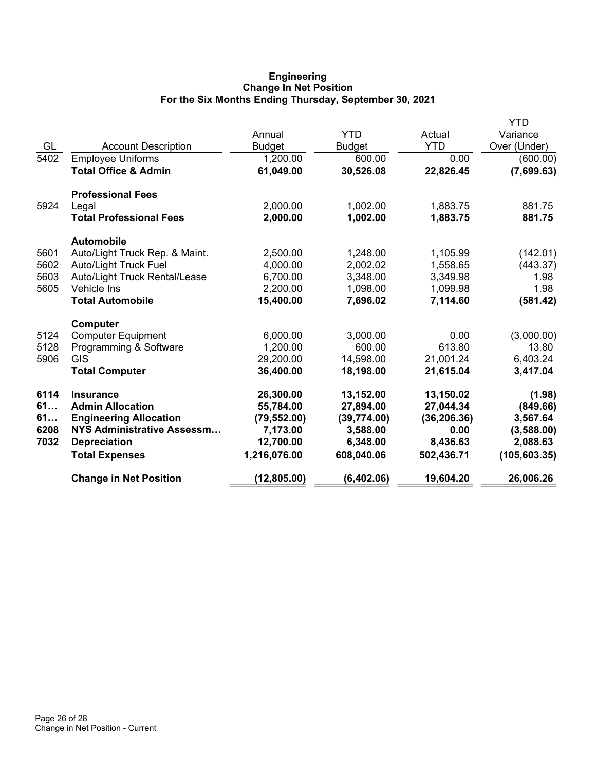# **Engineering Change In Net Position For the Six Months Ending Thursday, September 30, 2021**

|      |                                 |               |               |              | YTD           |
|------|---------------------------------|---------------|---------------|--------------|---------------|
|      |                                 | Annual        | <b>YTD</b>    | Actual       | Variance      |
| GL   | <b>Account Description</b>      | <b>Budget</b> | <b>Budget</b> | <b>YTD</b>   | Over (Under)  |
| 5402 | <b>Employee Uniforms</b>        | 1,200.00      | 600.00        | 0.00         | (600.00)      |
|      | <b>Total Office &amp; Admin</b> | 61,049.00     | 30,526.08     | 22,826.45    | (7,699.63)    |
|      | <b>Professional Fees</b>        |               |               |              |               |
| 5924 | Legal                           | 2,000.00      | 1,002.00      | 1,883.75     | 881.75        |
|      | <b>Total Professional Fees</b>  | 2,000.00      | 1,002.00      | 1,883.75     | 881.75        |
|      | <b>Automobile</b>               |               |               |              |               |
| 5601 | Auto/Light Truck Rep. & Maint.  | 2,500.00      | 1,248.00      | 1,105.99     | (142.01)      |
| 5602 | <b>Auto/Light Truck Fuel</b>    | 4,000.00      | 2,002.02      | 1,558.65     | (443.37)      |
| 5603 | Auto/Light Truck Rental/Lease   | 6,700.00      | 3,348.00      | 3,349.98     | 1.98          |
| 5605 | Vehicle Ins                     | 2,200.00      | 1,098.00      | 1,099.98     | 1.98          |
|      | <b>Total Automobile</b>         | 15,400.00     | 7,696.02      | 7,114.60     | (581.42)      |
|      | Computer                        |               |               |              |               |
| 5124 | <b>Computer Equipment</b>       | 6,000.00      | 3,000.00      | 0.00         | (3,000.00)    |
| 5128 | Programming & Software          | 1,200.00      | 600.00        | 613.80       | 13.80         |
| 5906 | <b>GIS</b>                      | 29,200.00     | 14,598.00     | 21,001.24    | 6,403.24      |
|      | <b>Total Computer</b>           | 36,400.00     | 18,198.00     | 21,615.04    | 3,417.04      |
| 6114 | <b>Insurance</b>                | 26,300.00     | 13,152.00     | 13,150.02    | (1.98)        |
| 61   | <b>Admin Allocation</b>         | 55,784.00     | 27,894.00     | 27,044.34    | (849.66)      |
| 61   | <b>Engineering Allocation</b>   | (79, 552.00)  | (39,774.00)   | (36, 206.36) | 3,567.64      |
| 6208 | NYS Administrative Assessm      | 7,173.00      | 3,588.00      | 0.00         | (3,588.00)    |
| 7032 | <b>Depreciation</b>             | 12,700.00     | 6,348.00      | 8,436.63     | 2,088.63      |
|      | <b>Total Expenses</b>           | 1,216,076.00  | 608,040.06    | 502,436.71   | (105, 603.35) |
|      | <b>Change in Net Position</b>   | (12, 805.00)  | (6,402.06)    | 19,604.20    | 26,006.26     |
|      |                                 |               |               |              |               |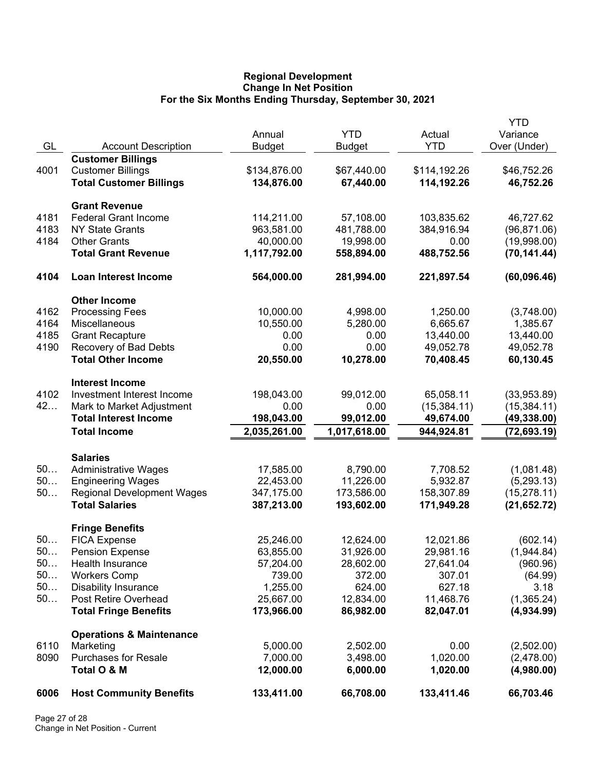## **Regional Development Change In Net Position For the Six Months Ending Thursday, September 30, 2021**

|          |                                                           |                            |                             |                         | <b>YTD</b><br>Variance       |
|----------|-----------------------------------------------------------|----------------------------|-----------------------------|-------------------------|------------------------------|
| GL       | <b>Account Description</b>                                | Annual<br><b>Budget</b>    | <b>YTD</b><br><b>Budget</b> | Actual<br><b>YTD</b>    | Over (Under)                 |
|          | <b>Customer Billings</b>                                  |                            |                             |                         |                              |
| 4001     | <b>Customer Billings</b>                                  | \$134,876.00               | \$67,440.00                 | \$114,192.26            | \$46,752.26                  |
|          | <b>Total Customer Billings</b>                            | 134,876.00                 | 67,440.00                   | 114,192.26              | 46,752.26                    |
|          | <b>Grant Revenue</b>                                      |                            |                             |                         |                              |
| 4181     | <b>Federal Grant Income</b>                               | 114,211.00                 | 57,108.00                   | 103,835.62              | 46,727.62                    |
| 4183     | <b>NY State Grants</b>                                    | 963,581.00                 | 481,788.00                  | 384,916.94              | (96, 871.06)                 |
| 4184     | <b>Other Grants</b>                                       | 40,000.00                  | 19,998.00                   | 0.00                    | (19,998.00)                  |
|          | <b>Total Grant Revenue</b>                                | 1,117,792.00               | 558,894.00                  | 488,752.56              | (70, 141.44)                 |
| 4104     | Loan Interest Income                                      | 564,000.00                 | 281,994.00                  | 221,897.54              | (60,096.46)                  |
|          | <b>Other Income</b>                                       |                            |                             |                         |                              |
| 4162     | <b>Processing Fees</b>                                    | 10,000.00                  | 4,998.00                    | 1,250.00                | (3,748.00)                   |
| 4164     | Miscellaneous                                             | 10,550.00                  | 5,280.00                    | 6,665.67                | 1,385.67                     |
| 4185     | <b>Grant Recapture</b>                                    | 0.00                       | 0.00                        | 13,440.00               | 13,440.00                    |
| 4190     | Recovery of Bad Debts                                     | 0.00                       | 0.00                        | 49,052.78               | 49,052.78                    |
|          | <b>Total Other Income</b>                                 | 20,550.00                  | 10,278.00                   | 70,408.45               | 60,130.45                    |
|          | <b>Interest Income</b>                                    |                            |                             |                         |                              |
| 4102     | Investment Interest Income                                | 198,043.00                 | 99,012.00                   | 65,058.11               | (33,953.89)                  |
| 42       | Mark to Market Adjustment<br><b>Total Interest Income</b> | 0.00                       | 0.00                        | (15, 384.11)            | (15, 384.11)                 |
|          | <b>Total Income</b>                                       | 198,043.00<br>2,035,261.00 | 99,012.00                   | 49,674.00<br>944,924.81 | (49, 338.00)<br>(72, 693.19) |
|          |                                                           |                            | 1,017,618.00                |                         |                              |
|          | <b>Salaries</b>                                           |                            |                             |                         |                              |
| 50       | <b>Administrative Wages</b>                               | 17,585.00                  | 8,790.00                    | 7,708.52                | (1,081.48)                   |
| 50       | <b>Engineering Wages</b>                                  | 22,453.00                  | 11,226.00                   | 5,932.87                | (5,293.13)                   |
| 50       | <b>Regional Development Wages</b>                         | 347,175.00                 | 173,586.00                  | 158,307.89              | (15, 278.11)                 |
|          | <b>Total Salaries</b>                                     | 387,213.00                 | 193,602.00                  | 171,949.28              | (21, 652.72)                 |
|          | <b>Fringe Benefits</b>                                    |                            |                             |                         |                              |
| 50       | <b>FICA Expense</b>                                       | 25,246.00                  | 12,624.00                   | 12,021.86               | (602.14)                     |
| 50.      | <b>Pension Expense</b>                                    | 63,855.00                  | 31,926.00                   | 29,981.16               | (1,944.84)                   |
| 50<br>50 | Health Insurance                                          | 57,204.00<br>739.00        | 28,602.00<br>372.00         | 27,641.04<br>307.01     | (960.96)                     |
| 50       | <b>Workers Comp</b><br><b>Disability Insurance</b>        | 1,255.00                   | 624.00                      | 627.18                  | (64.99)<br>3.18              |
| 50       | Post Retire Overhead                                      | 25,667.00                  | 12,834.00                   | 11,468.76               | (1,365.24)                   |
|          | <b>Total Fringe Benefits</b>                              | 173,966.00                 | 86,982.00                   | 82,047.01               | (4,934.99)                   |
|          | <b>Operations &amp; Maintenance</b>                       |                            |                             |                         |                              |
| 6110     | Marketing                                                 | 5,000.00                   | 2,502.00                    | 0.00                    | (2,502.00)                   |
| 8090     | <b>Purchases for Resale</b>                               | 7,000.00                   | 3,498.00                    | 1,020.00                | (2,478.00)                   |
|          | Total O & M                                               | 12,000.00                  | 6,000.00                    | 1,020.00                | (4,980.00)                   |
| 6006     | <b>Host Community Benefits</b>                            | 133,411.00                 | 66,708.00                   | 133,411.46              | 66,703.46                    |